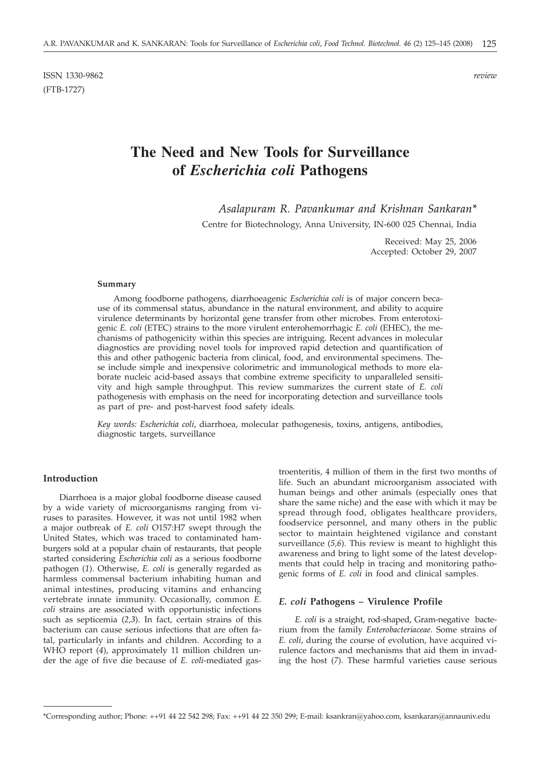ISSN 1330-9862 *review* (FTB-1727)

# **The Need and New Tools for Surveillance of** *Escherichia coli* **Pathogens**

*Asalapuram R. Pavankumar and Krishnan Sankaran\**

Centre for Biotechnology, Anna University, IN-600 025 Chennai, India

Received: May 25, 2006 Accepted: October 29, 2007

#### **Summary**

Among foodborne pathogens, diarrhoeagenic *Escherichia coli* is of major concern because of its commensal status, abundance in the natural environment, and ability to acquire virulence determinants by horizontal gene transfer from other microbes. From enterotoxigenic *E. coli* (ETEC) strains to the more virulent enterohemorrhagic *E. coli* (EHEC), the mechanisms of pathogenicity within this species are intriguing. Recent advances in molecular diagnostics are providing novel tools for improved rapid detection and quantification of this and other pathogenic bacteria from clinical, food, and environmental specimens. These include simple and inexpensive colorimetric and immunological methods to more elaborate nucleic acid-based assays that combine extreme specificity to unparalleled sensitivity and high sample throughput. This review summarizes the current state of *E. coli* pathogenesis with emphasis on the need for incorporating detection and surveillance tools as part of pre- and post-harvest food safety ideals.

*Key words: Escherichia coli*, diarrhoea, molecular pathogenesis, toxins, antigens, antibodies, diagnostic targets, surveillance

# **Introduction**

Diarrhoea is a major global foodborne disease caused by a wide variety of microorganisms ranging from viruses to parasites. However, it was not until 1982 when a major outbreak of *E. coli* O157:H7 swept through the United States, which was traced to contaminated hamburgers sold at a popular chain of restaurants, that people started considering *Escherichia coli* as a serious foodborne pathogen (*1*). Otherwise, *E. coli* is generally regarded as harmless commensal bacterium inhabiting human and animal intestines, producing vitamins and enhancing vertebrate innate immunity. Occasionally, common *E. coli* strains are associated with opportunistic infections such as septicemia (*2,3*). In fact, certain strains of this bacterium can cause serious infections that are often fatal, particularly in infants and children. According to a WHO report (*4*), approximately 11 million children under the age of five die because of *E. coli*-mediated gas-

troenteritis, 4 million of them in the first two months of life. Such an abundant microorganism associated with human beings and other animals (especially ones that share the same niche) and the ease with which it may be spread through food, obligates healthcare providers, foodservice personnel, and many others in the public sector to maintain heightened vigilance and constant surveillance (*5,6*). This review is meant to highlight this awareness and bring to light some of the latest developments that could help in tracing and monitoring pathogenic forms of *E. coli* in food and clinical samples.

### *E. coli* **Pathogens** *–* **Virulence Profile**

*E. coli* is a straight, rod-shaped, Gram-negative bacterium from the family *Enterobacteriaceae*. Some strains of *E. coli*, during the course of evolution, have acquired virulence factors and mechanisms that aid them in invading the host (*7*). These harmful varieties cause serious

<sup>\*</sup>Corresponding author; Phone: ++91 44 22 542 298; Fax: ++91 44 22 350 299; E-mail: ksankran@yahoo.com, ksankaran@annauniv.edu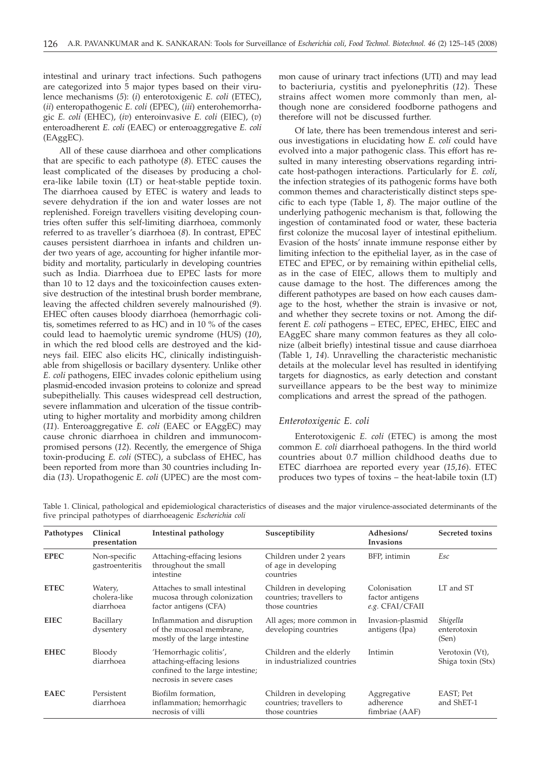intestinal and urinary tract infections. Such pathogens are categorized into 5 major types based on their virulence mechanisms (*5*): (*i*) enterotoxigenic *E. coli* (ETEC), (*ii*) enteropathogenic *E. coli* (EPEC), (*iii*) enterohemorrhagic *E. coli* (EHEC), (*iv*) enteroinvasive *E. coli* (EIEC), (*v*) enteroadherent *E. coli* (EAEC) or enteroaggregative *E. coli* (EAggEC).

All of these cause diarrhoea and other complications that are specific to each pathotype (*8*). ETEC causes the least complicated of the diseases by producing a cholera-like labile toxin (LT) or heat-stable peptide toxin. The diarrhoea caused by ETEC is watery and leads to severe dehydration if the ion and water losses are not replenished. Foreign travellers visiting developing countries often suffer this self-limiting diarrhoea, commonly referred to as traveller's diarrhoea (*8*). In contrast, EPEC causes persistent diarrhoea in infants and children under two years of age, accounting for higher infantile morbidity and mortality, particularly in developing countries such as India. Diarrhoea due to EPEC lasts for more than 10 to 12 days and the toxicoinfection causes extensive destruction of the intestinal brush border membrane, leaving the affected children severely malnourished (*9*). EHEC often causes bloody diarrhoea (hemorrhagic colitis, sometimes referred to as HC) and in 10 % of the cases could lead to haemolytic uremic syndrome (HUS) (*10*), in which the red blood cells are destroyed and the kidneys fail. EIEC also elicits HC, clinically indistinguishable from shigellosis or bacillary dysentery. Unlike other *E. coli* pathogens, EIEC invades colonic epithelium using plasmid-encoded invasion proteins to colonize and spread subepithelially. This causes widespread cell destruction, severe inflammation and ulceration of the tissue contributing to higher mortality and morbidity among children (*11*). Enteroaggregative *E. coli* (EAEC or EAggEC) may cause chronic diarrhoea in children and immunocompromised persons (*12*). Recently, the emergence of Shiga toxin-producing *E. coli* (STEC), a subclass of EHEC, has been reported from more than 30 countries including India (*13*). Uropathogenic *E. coli* (UPEC) are the most common cause of urinary tract infections (UTI) and may lead to bacteriuria, cystitis and pyelonephritis (*12*). These strains affect women more commonly than men, although none are considered foodborne pathogens and therefore will not be discussed further.

Of late, there has been tremendous interest and serious investigations in elucidating how *E. coli* could have evolved into a major pathogenic class. This effort has resulted in many interesting observations regarding intricate host-pathogen interactions. Particularly for *E. coli*, the infection strategies of its pathogenic forms have both common themes and characteristically distinct steps specific to each type (Table 1, *8*)*.* The major outline of the underlying pathogenic mechanism is that, following the ingestion of contaminated food or water, these bacteria first colonize the mucosal layer of intestinal epithelium. Evasion of the hosts' innate immune response either by limiting infection to the epithelial layer, as in the case of ETEC and EPEC, or by remaining within epithelial cells, as in the case of EIEC, allows them to multiply and cause damage to the host. The differences among the different pathotypes are based on how each causes damage to the host, whether the strain is invasive or not, and whether they secrete toxins or not. Among the different *E. coli* pathogens – ETEC, EPEC, EHEC, EIEC and EAggEC share many common features as they all colonize (albeit briefly) intestinal tissue and cause diarrhoea (Table 1, *14*). Unravelling the characteristic mechanistic details at the molecular level has resulted in identifying targets for diagnostics, as early detection and constant surveillance appears to be the best way to minimize complications and arrest the spread of the pathogen.

### *Enterotoxigenic E. coli*

Enterotoxigenic *E. coli* (ETEC) is among the most common *E. coli* diarrhoeal pathogens. In the third world countries about 0.7 million childhood deaths due to ETEC diarrhoea are reported every year (*15,16*). ETEC produces two types of toxins – the heat-labile toxin (LT)

Table 1. Clinical, pathological and epidemiological characteristics of diseases and the major virulence-associated determinants of the five principal pathotypes of diarrhoeagenic *Escherichia coli*

| Pathotypes  | Clinical<br>presentation             | Intestinal pathology                                                                                                 | Susceptibility                                                        | Adhesions/<br><b>Invasions</b>                     | Secreted toxins                      |
|-------------|--------------------------------------|----------------------------------------------------------------------------------------------------------------------|-----------------------------------------------------------------------|----------------------------------------------------|--------------------------------------|
| <b>EPEC</b> | Non-specific<br>gastroenteritis      | Attaching-effacing lesions<br>throughout the small<br>intestine                                                      | Children under 2 years<br>of age in developing<br>countries           | BFP, intimin                                       | Esc                                  |
| <b>ETEC</b> | Watery,<br>cholera-like<br>diarrhoea | Attaches to small intestinal<br>mucosa through colonization<br>factor antigens (CFA)                                 | Children in developing<br>countries; travellers to<br>those countries | Colonisation<br>factor antigens<br>e.g. CFAI/CFAII | LT and ST                            |
| <b>EIEC</b> | Bacillary<br>dysentery               | Inflammation and disruption<br>of the mucosal membrane,<br>mostly of the large intestine                             | All ages; more common in<br>developing countries                      | Invasion-plasmid<br>antigens (Ipa)                 | Shigella<br>enterotoxin<br>(Sen)     |
| <b>EHEC</b> | Bloody<br>diarrhoea                  | 'Hemorrhagic colitis',<br>attaching-effacing lesions<br>confined to the large intestine;<br>necrosis in severe cases | Children and the elderly<br>in industrialized countries               | Intimin                                            | Verotoxin (Vt),<br>Shiga toxin (Stx) |
| <b>EAEC</b> | Persistent<br>diarrhoea              | Biofilm formation,<br>inflammation; hemorrhagic<br>necrosis of villi                                                 | Children in developing<br>countries; travellers to<br>those countries | Aggregative<br>adherence<br>fimbriae (AAF)         | EAST; Pet<br>and ShET-1              |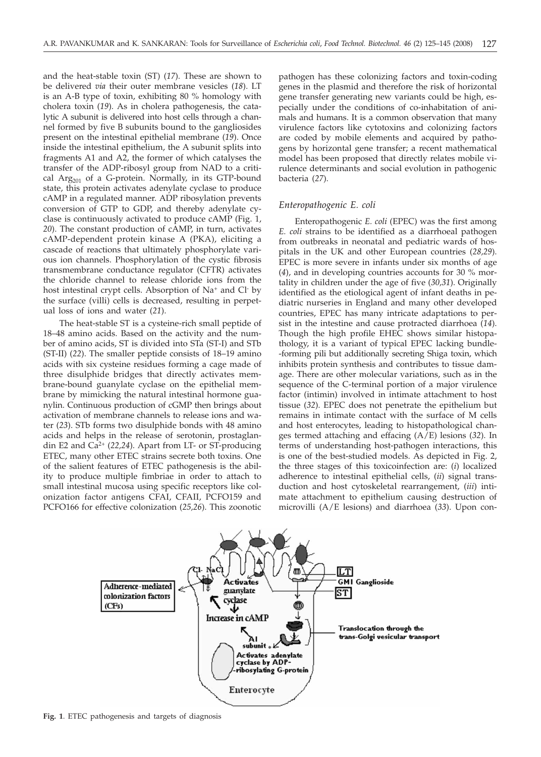and the heat-stable toxin (ST) (*17*). These are shown to be delivered *via* their outer membrane vesicles (*18*). LT is an A-B type of toxin, exhibiting 80 % homology with cholera toxin (*19*). As in cholera pathogenesis, the catalytic A subunit is delivered into host cells through a channel formed by five B subunits bound to the gangliosides present on the intestinal epithelial membrane (*19*). Once inside the intestinal epithelium, the A subunit splits into fragments A1 and A2, the former of which catalyses the transfer of the ADP-ribosyl group from NAD to a critical Arg<sub>201</sub> of a G-protein. Normally, in its GTP-bound state, this protein activates adenylate cyclase to produce cAMP in a regulated manner. ADP ribosylation prevents conversion of GTP to GDP, and thereby adenylate cyclase is continuously activated to produce cAMP (Fig. 1, *20*). The constant production of cAMP, in turn, activates cAMP-dependent protein kinase A (PKA), eliciting a cascade of reactions that ultimately phosphorylate various ion channels. Phosphorylation of the cystic fibrosis transmembrane conductance regulator (CFTR) activates the chloride channel to release chloride ions from the host intestinal crypt cells. Absorption of Na<sup>+</sup> and Cl<sup>-</sup> by the surface (villi) cells is decreased, resulting in perpetual loss of ions and water (*21*).

The heat-stable ST is a cysteine-rich small peptide of 18–48 amino acids. Based on the activity and the number of amino acids, ST is divided into STa (ST-I) and STb (ST-II) (*22*). The smaller peptide consists of 18–19 amino acids with six cysteine residues forming a cage made of three disulphide bridges that directly activates membrane-bound guanylate cyclase on the epithelial membrane by mimicking the natural intestinal hormone guanylin. Continuous production of cGMP then brings about activation of membrane channels to release ions and water (*23*). STb forms two disulphide bonds with 48 amino acids and helps in the release of serotonin, prostaglandin E2 and Ca2+ (*22,24*). Apart from LT- or ST-producing ETEC, many other ETEC strains secrete both toxins. One of the salient features of ETEC pathogenesis is the ability to produce multiple fimbriae in order to attach to small intestinal mucosa using specific receptors like colonization factor antigens CFAI, CFAII, PCFO159 and PCFO166 for effective colonization (*25,26*). This zoonotic pathogen has these colonizing factors and toxin-coding genes in the plasmid and therefore the risk of horizontal gene transfer generating new variants could be high, especially under the conditions of co-inhabitation of animals and humans. It is a common observation that many virulence factors like cytotoxins and colonizing factors are coded by mobile elements and acquired by pathogens by horizontal gene transfer; a recent mathematical model has been proposed that directly relates mobile virulence determinants and social evolution in pathogenic bacteria (*27*).

# *Enteropathogenic E. coli*

Enteropathogenic *E. coli* (EPEC) was the first among *E. coli* strains to be identified as a diarrhoeal pathogen from outbreaks in neonatal and pediatric wards of hospitals in the UK and other European countries (*28,29*). EPEC is more severe in infants under six months of age (*4*), and in developing countries accounts for 30 % mortality in children under the age of five (*30,31*). Originally identified as the etiological agent of infant deaths in pediatric nurseries in England and many other developed countries, EPEC has many intricate adaptations to persist in the intestine and cause protracted diarrhoea (*14*). Though the high profile EHEC shows similar histopathology, it is a variant of typical EPEC lacking bundle- -forming pili but additionally secreting Shiga toxin, which inhibits protein synthesis and contributes to tissue damage. There are other molecular variations, such as in the sequence of the C-terminal portion of a major virulence factor (intimin) involved in intimate attachment to host tissue (*32*). EPEC does not penetrate the epithelium but remains in intimate contact with the surface of M cells and host enterocytes, leading to histopathological changes termed attaching and effacing (A/E) lesions (*32*). In terms of understanding host-pathogen interactions, this is one of the best-studied models. As depicted in Fig. 2, the three stages of this toxicoinfection are: (*i*) localized adherence to intestinal epithelial cells, (*ii*) signal transduction and host cytoskeletal rearrangement, (*iii*) intimate attachment to epithelium causing destruction of microvilli (A/E lesions) and diarrhoea (*33*). Upon con-



**Fig. 1**. ETEC pathogenesis and targets of diagnosis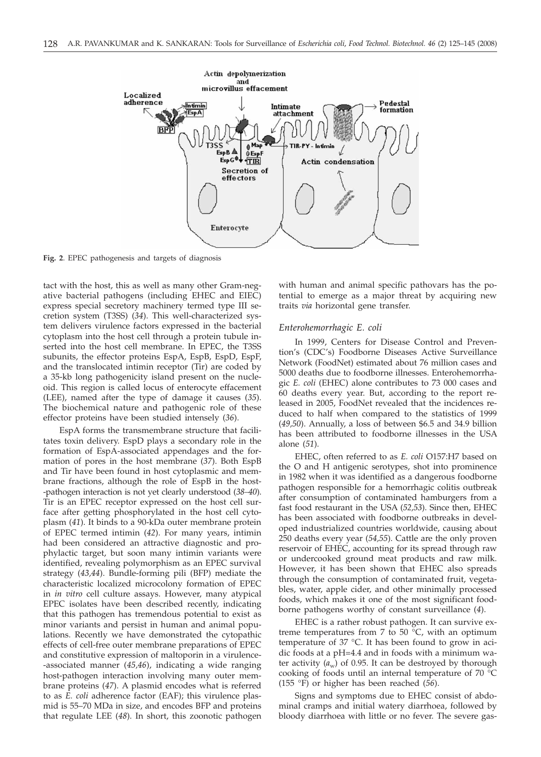

**Fig. 2**. EPEC pathogenesis and targets of diagnosis

tact with the host, this as well as many other Gram-negative bacterial pathogens (including EHEC and EIEC) express special secretory machinery termed type III secretion system (T3SS) (*34*). This well-characterized system delivers virulence factors expressed in the bacterial cytoplasm into the host cell through a protein tubule inserted into the host cell membrane. In EPEC, the T3SS subunits, the effector proteins EspA, EspB, EspD, EspF, and the translocated intimin receptor (Tir) are coded by a 35-kb long pathogenicity island present on the nucleoid. This region is called locus of enterocyte effacement (LEE), named after the type of damage it causes (*35*). The biochemical nature and pathogenic role of these effector proteins have been studied intensely (*36*).

EspA forms the transmembrane structure that facilitates toxin delivery. EspD plays a secondary role in the formation of EspA-associated appendages and the formation of pores in the host membrane (*37*). Both EspB and Tir have been found in host cytoplasmic and membrane fractions, although the role of EspB in the host- -pathogen interaction is not yet clearly understood (*38–40*). Tir is an EPEC receptor expressed on the host cell surface after getting phosphorylated in the host cell cytoplasm (*41*). It binds to a 90-kDa outer membrane protein of EPEC termed intimin (*42*). For many years, intimin had been considered an attractive diagnostic and prophylactic target, but soon many intimin variants were identified, revealing polymorphism as an EPEC survival strategy (*43,44*). Bundle-forming pili (BFP) mediate the characteristic localized microcolony formation of EPEC in *in vitro* cell culture assays. However, many atypical EPEC isolates have been described recently, indicating that this pathogen has tremendous potential to exist as minor variants and persist in human and animal populations. Recently we have demonstrated the cytopathic effects of cell-free outer membrane preparations of EPEC and constitutive expression of maltoporin in a virulence- -associated manner (*45,46*), indicating a wide ranging host-pathogen interaction involving many outer membrane proteins (*47*). A plasmid encodes what is referred to as *E. coli* adherence factor (EAF); this virulence plasmid is 55–70 MDa in size, and encodes BFP and proteins that regulate LEE (*48*). In short, this zoonotic pathogen with human and animal specific pathovars has the potential to emerge as a major threat by acquiring new traits *via* horizontal gene transfer.

### *Enterohemorrhagic E. coli*

In 1999, Centers for Disease Control and Prevention's (CDC's) Foodborne Diseases Active Surveillance Network (FoodNet) estimated about 76 million cases and 5000 deaths due to foodborne illnesses. Enterohemorrhagic *E. coli* (EHEC) alone contributes to 73 000 cases and 60 deaths every year. But, according to the report released in 2005, FoodNet revealed that the incidences reduced to half when compared to the statistics of 1999 (*49,50*). Annually, a loss of between \$6.5 and 34.9 billion has been attributed to foodborne illnesses in the USA alone (*51*).

EHEC, often referred to as *E. coli* O157:H7 based on the O and H antigenic serotypes, shot into prominence in 1982 when it was identified as a dangerous foodborne pathogen responsible for a hemorrhagic colitis outbreak after consumption of contaminated hamburgers from a fast food restaurant in the USA (*52,53*). Since then, EHEC has been associated with foodborne outbreaks in developed industrialized countries worldwide, causing about 250 deaths every year (*54,55*). Cattle are the only proven reservoir of EHEC, accounting for its spread through raw or undercooked ground meat products and raw milk. However, it has been shown that EHEC also spreads through the consumption of contaminated fruit, vegetables, water, apple cider, and other minimally processed foods, which makes it one of the most significant foodborne pathogens worthy of constant surveillance (*4*).

EHEC is a rather robust pathogen. It can survive extreme temperatures from 7 to 50  $^{\circ}$ C, with an optimum temperature of 37 °C. It has been found to grow in acidic foods at a pH=4.4 and in foods with a minimum water activity  $(a_w)$  of 0.95. It can be destroyed by thorough cooking of foods until an internal temperature of 70 °C (155 °F) or higher has been reached (*56*).

Signs and symptoms due to EHEC consist of abdominal cramps and initial watery diarrhoea, followed by bloody diarrhoea with little or no fever. The severe gas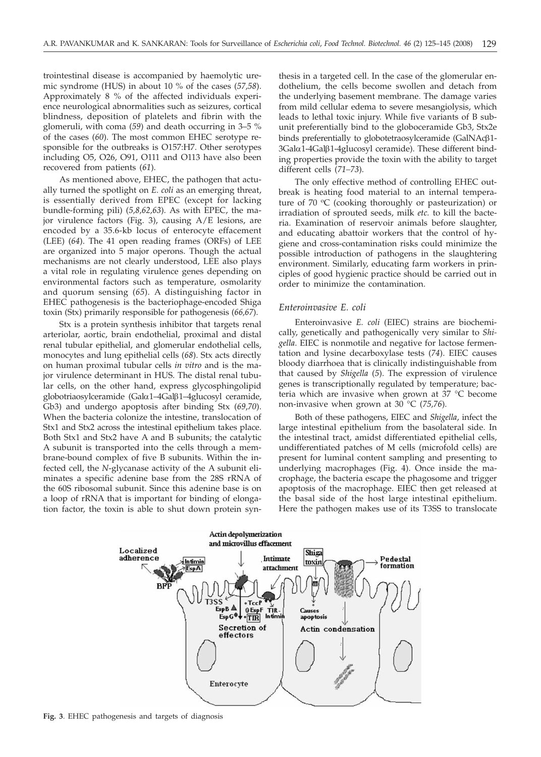trointestinal disease is accompanied by haemolytic uremic syndrome (HUS) in about 10 % of the cases (*57,58*). Approximately 8 % of the affected individuals experience neurological abnormalities such as seizures, cortical blindness, deposition of platelets and fibrin with the glomeruli, with coma (*59*) and death occurring in 3–5 % of the cases (*60*). The most common EHEC serotype responsible for the outbreaks is O157:H7. Other serotypes including O5, O26, O91, O111 and O113 have also been recovered from patients (*61*).

As mentioned above, EHEC, the pathogen that actually turned the spotlight on *E. coli* as an emerging threat, is essentially derived from EPEC (except for lacking bundle-forming pili) (*5,8,62,63*). As with EPEC, the major virulence factors (Fig. 3), causing A/E lesions, are encoded by a 35.6-kb locus of enterocyte effacement (LEE) (*64*). The 41 open reading frames (ORFs) of LEE are organized into 5 major operons. Though the actual mechanisms are not clearly understood, LEE also plays a vital role in regulating virulence genes depending on environmental factors such as temperature, osmolarity and quorum sensing (*65*). A distinguishing factor in EHEC pathogenesis is the bacteriophage-encoded Shiga toxin (Stx) primarily responsible for pathogenesis (*66,67*).

Stx is a protein synthesis inhibitor that targets renal arteriolar, aortic, brain endothelial, proximal and distal renal tubular epithelial, and glomerular endothelial cells, monocytes and lung epithelial cells (*68*). Stx acts directly on human proximal tubular cells *in vitro* and is the major virulence determinant in HUS. The distal renal tubular cells, on the other hand, express glycosphingolipid globotriaosylceramide (Gala1–4Galb1–4glucosyl ceramide, Gb3) and undergo apoptosis after binding Stx (*69*,*70*). When the bacteria colonize the intestine, translocation of Stx1 and Stx2 across the intestinal epithelium takes place. Both Stx1 and Stx2 have A and B subunits; the catalytic A subunit is transported into the cells through a membrane-bound complex of five B subunits. Within the infected cell, the *N*-glycanase activity of the A subunit eliminates a specific adenine base from the 28S rRNA of the 60S ribosomal subunit. Since this adenine base is on a loop of rRNA that is important for binding of elongation factor, the toxin is able to shut down protein synthesis in a targeted cell. In the case of the glomerular endothelium, the cells become swollen and detach from the underlying basement membrane. The damage varies from mild cellular edema to severe mesangiolysis, which leads to lethal toxic injury. While five variants of B subunit preferentially bind to the globoceramide Gb3, Stx2e binds preferentially to globotetraosylceramide (GalNAcß1-3Gala1-4Galb1-4glucosyl ceramide). These different binding properties provide the toxin with the ability to target different cells (*71–73*).

The only effective method of controlling EHEC outbreak is heating food material to an internal temperature of 70  $\rm{°C}$  (cooking thoroughly or pasteurization) or irradiation of sprouted seeds, milk *etc.* to kill the bacteria. Examination of reservoir animals before slaughter, and educating abattoir workers that the control of hygiene and cross-contamination risks could minimize the possible introduction of pathogens in the slaughtering environment. Similarly, educating farm workers in principles of good hygienic practice should be carried out in order to minimize the contamination.

# *Enteroinvasive E. coli*

Enteroinvasive *E. coli* (EIEC) strains are biochemically, genetically and pathogenically very similar to *Shigella*. EIEC is nonmotile and negative for lactose fermentation and lysine decarboxylase tests (*74*). EIEC causes bloody diarrhoea that is clinically indistinguishable from that caused by *Shigella* (*5*). The expression of virulence genes is transcriptionally regulated by temperature; bacteria which are invasive when grown at 37 °C become non-invasive when grown at 30 °C (*75,76*).

Both of these pathogens, EIEC and *Shigella*, infect the large intestinal epithelium from the basolateral side. In the intestinal tract, amidst differentiated epithelial cells, undifferentiated patches of M cells (microfold cells) are present for luminal content sampling and presenting to underlying macrophages (Fig. 4). Once inside the macrophage, the bacteria escape the phagosome and trigger apoptosis of the macrophage. EIEC then get released at the basal side of the host large intestinal epithelium. Here the pathogen makes use of its T3SS to translocate



**Fig. 3**. EHEC pathogenesis and targets of diagnosis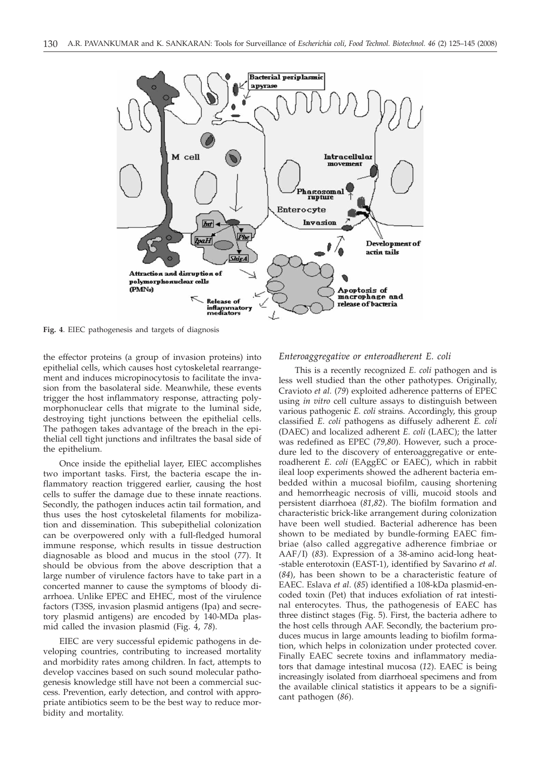

**Fig. 4**. EIEC pathogenesis and targets of diagnosis

the effector proteins (a group of invasion proteins) into epithelial cells, which causes host cytoskeletal rearrangement and induces micropinocytosis to facilitate the invasion from the basolateral side. Meanwhile, these events trigger the host inflammatory response, attracting polymorphonuclear cells that migrate to the luminal side, destroying tight junctions between the epithelial cells. The pathogen takes advantage of the breach in the epithelial cell tight junctions and infiltrates the basal side of the epithelium.

Once inside the epithelial layer, EIEC accomplishes two important tasks. First, the bacteria escape the inflammatory reaction triggered earlier, causing the host cells to suffer the damage due to these innate reactions. Secondly, the pathogen induces actin tail formation, and thus uses the host cytoskeletal filaments for mobilization and dissemination. This subepithelial colonization can be overpowered only with a full-fledged humoral immune response, which results in tissue destruction diagnosable as blood and mucus in the stool (*77*). It should be obvious from the above description that a large number of virulence factors have to take part in a concerted manner to cause the symptoms of bloody diarrhoea. Unlike EPEC and EHEC, most of the virulence factors (T3SS, invasion plasmid antigens (Ipa) and secretory plasmid antigens) are encoded by 140-MDa plasmid called the invasion plasmid (Fig. 4, *78*).

EIEC are very successful epidemic pathogens in developing countries, contributing to increased mortality and morbidity rates among children. In fact, attempts to develop vaccines based on such sound molecular pathogenesis knowledge still have not been a commercial success. Prevention, early detection, and control with appropriate antibiotics seem to be the best way to reduce morbidity and mortality.

# *Enteroaggregative or enteroadherent E. coli*

This is a recently recognized *E. coli* pathogen and is less well studied than the other pathotypes. Originally, Cravioto *et al.* (*79*) exploited adherence patterns of EPEC using *in vitro* cell culture assays to distinguish between various pathogenic *E. coli* strains. Accordingly, this group classified *E. coli* pathogens as diffusely adherent *E. coli* (DAEC) and localized adherent *E. coli* (LAEC); the latter was redefined as EPEC (*79,80*). However, such a procedure led to the discovery of enteroaggregative or enteroadherent *E. coli* (EAggEC or EAEC), which in rabbit ileal loop experiments showed the adherent bacteria embedded within a mucosal biofilm, causing shortening and hemorrheagic necrosis of villi, mucoid stools and persistent diarrhoea (*81,82*). The biofilm formation and characteristic brick-like arrangement during colonization have been well studied. Bacterial adherence has been shown to be mediated by bundle-forming EAEC fimbriae (also called aggregative adherence fimbriae or AAF/I) (*83*). Expression of a 38-amino acid-long heat- -stable enterotoxin (EAST-1), identified by Savarino *et al*. (*84*), has been shown to be a characteristic feature of EAEC. Eslava *et al*. (*85*) identified a 108-kDa plasmid-encoded toxin (Pet) that induces exfoliation of rat intestinal enterocytes. Thus, the pathogenesis of EAEC has three distinct stages (Fig. 5). First, the bacteria adhere to the host cells through AAF. Secondly, the bacterium produces mucus in large amounts leading to biofilm formation, which helps in colonization under protected cover. Finally EAEC secrete toxins and inflammatory mediators that damage intestinal mucosa (*12*). EAEC is being increasingly isolated from diarrhoeal specimens and from the available clinical statistics it appears to be a significant pathogen (*86*).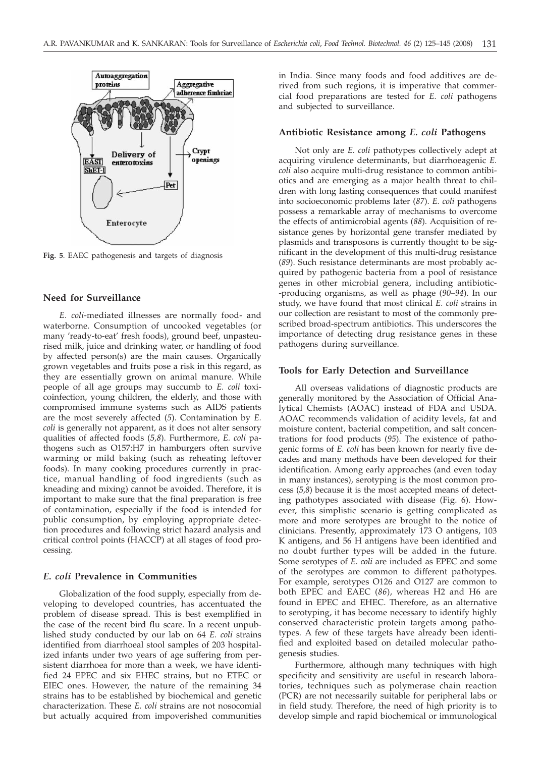

**Fig. 5**. EAEC pathogenesis and targets of diagnosis

# **Need for Surveillance**

*E. coli-*mediated illnesses are normally food- and waterborne. Consumption of uncooked vegetables (or many 'ready-to-eat' fresh foods), ground beef, unpasteurised milk, juice and drinking water, or handling of food by affected person(s) are the main causes. Organically grown vegetables and fruits pose a risk in this regard, as they are essentially grown on animal manure. While people of all age groups may succumb to *E. coli* toxicoinfection, young children, the elderly, and those with compromised immune systems such as AIDS patients are the most severely affected (*5*). Contamination by *E. coli* is generally not apparent, as it does not alter sensory qualities of affected foods (*5,8*). Furthermore, *E. coli* pathogens such as O157:H7 in hamburgers often survive warming or mild baking (such as reheating leftover foods). In many cooking procedures currently in practice, manual handling of food ingredients (such as kneading and mixing) cannot be avoided. Therefore, it is important to make sure that the final preparation is free of contamination, especially if the food is intended for public consumption, by employing appropriate detection procedures and following strict hazard analysis and critical control points (HACCP) at all stages of food processing.

### *E. coli* **Prevalence in Communities**

Globalization of the food supply, especially from developing to developed countries, has accentuated the problem of disease spread. This is best exemplified in the case of the recent bird flu scare. In a recent unpublished study conducted by our lab on 64 *E. coli* strains identified from diarrhoeal stool samples of 203 hospitalized infants under two years of age suffering from persistent diarrhoea for more than a week, we have identified 24 EPEC and six EHEC strains, but no ETEC or EIEC ones. However, the nature of the remaining 34 strains has to be established by biochemical and genetic characterization. These *E. coli* strains are not nosocomial but actually acquired from impoverished communities in India. Since many foods and food additives are derived from such regions, it is imperative that commercial food preparations are tested for *E. coli* pathogens and subjected to surveillance.

# **Antibiotic Resistance among** *E. coli* **Pathogens**

Not only are *E. coli* pathotypes collectively adept at acquiring virulence determinants, but diarrhoeagenic *E. coli* also acquire multi-drug resistance to common antibiotics and are emerging as a major health threat to children with long lasting consequences that could manifest into socioeconomic problems later (*87*). *E. coli* pathogens possess a remarkable array of mechanisms to overcome the effects of antimicrobial agents (*88*). Acquisition of resistance genes by horizontal gene transfer mediated by plasmids and transposons is currently thought to be significant in the development of this multi-drug resistance (*89*). Such resistance determinants are most probably acquired by pathogenic bacteria from a pool of resistance genes in other microbial genera, including antibiotic- -producing organisms, as well as phage (*90–94*). In our study, we have found that most clinical *E. coli* strains in our collection are resistant to most of the commonly prescribed broad-spectrum antibiotics. This underscores the importance of detecting drug resistance genes in these pathogens during surveillance.

# **Tools for Early Detection and Surveillance**

All overseas validations of diagnostic products are generally monitored by the Association of Official Analytical Chemists (AOAC) instead of FDA and USDA. AOAC recommends validation of acidity levels, fat and moisture content, bacterial competition, and salt concentrations for food products (*95*). The existence of pathogenic forms of *E. coli* has been known for nearly five decades and many methods have been developed for their identification. Among early approaches (and even today in many instances), serotyping is the most common process (*5,8*) because it is the most accepted means of detecting pathotypes associated with disease (Fig. 6). However, this simplistic scenario is getting complicated as more and more serotypes are brought to the notice of clinicians. Presently, approximately 173 O antigens, 103 K antigens, and 56 H antigens have been identified and no doubt further types will be added in the future. Some serotypes of *E. coli* are included as EPEC and some of the serotypes are common to different pathotypes. For example, serotypes O126 and O127 are common to both EPEC and EAEC (*86*), whereas H2 and H6 are found in EPEC and EHEC. Therefore, as an alternative to serotyping, it has become necessary to identify highly conserved characteristic protein targets among pathotypes. A few of these targets have already been identified and exploited based on detailed molecular pathogenesis studies.

Furthermore, although many techniques with high specificity and sensitivity are useful in research laboratories, techniques such as polymerase chain reaction (PCR) are not necessarily suitable for peripheral labs or in field study. Therefore, the need of high priority is to develop simple and rapid biochemical or immunological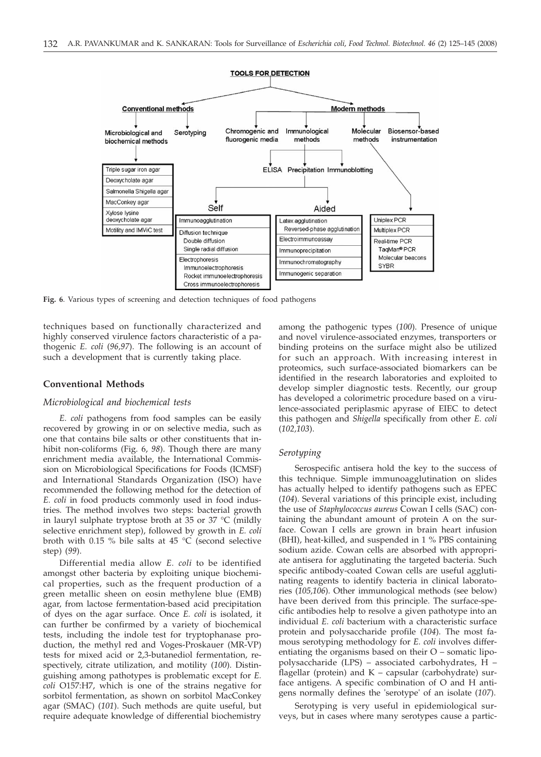

**Fig. 6**. Various types of screening and detection techniques of food pathogens

techniques based on functionally characterized and highly conserved virulence factors characteristic of a pathogenic *E. coli* (*96,97*). The following is an account of such a development that is currently taking place.

### **Conventional Methods**

### *Microbiological and biochemical tests*

*E. coli* pathogens from food samples can be easily recovered by growing in or on selective media, such as one that contains bile salts or other constituents that inhibit non-coliforms (Fig. 6, *98*). Though there are many enrichment media available, the International Commission on Microbiological Specifications for Foods (ICMSF) and International Standards Organization (ISO) have recommended the following method for the detection of *E. coli* in food products commonly used in food industries. The method involves two steps: bacterial growth in lauryl sulphate tryptose broth at 35 or 37 °C (mildly selective enrichment step), followed by growth in *E. coli* broth with 0.15 % bile salts at 45 °C (second selective step) (*99*).

Differential media allow *E. coli* to be identified amongst other bacteria by exploiting unique biochemical properties, such as the frequent production of a green metallic sheen on eosin methylene blue (EMB) agar, from lactose fermentation-based acid precipitation of dyes on the agar surface. Once *E. coli* is isolated, it can further be confirmed by a variety of biochemical tests, including the indole test for tryptophanase production, the methyl red and Voges-Proskauer (MR-VP) tests for mixed acid or 2,3-butanediol fermentation, respectively, citrate utilization, and motility (*100*). Distinguishing among pathotypes is problematic except for *E. coli* O157:H7, which is one of the strains negative for sorbitol fermentation, as shown on sorbitol MacConkey agar (SMAC) (*101*). Such methods are quite useful, but require adequate knowledge of differential biochemistry

among the pathogenic types (*100*). Presence of unique and novel virulence-associated enzymes, transporters or binding proteins on the surface might also be utilized for such an approach. With increasing interest in proteomics, such surface-associated biomarkers can be identified in the research laboratories and exploited to develop simpler diagnostic tests. Recently, our group has developed a colorimetric procedure based on a virulence-associated periplasmic apyrase of EIEC to detect this pathogen and *Shigella* specifically from other *E. coli* (*102,103*).

# *Serotyping*

Serospecific antisera hold the key to the success of this technique. Simple immunoagglutination on slides has actually helped to identify pathogens such as EPEC (*104*). Several variations of this principle exist, including the use of *Staphylococcus aureus* Cowan I cells (SAC) containing the abundant amount of protein A on the surface. Cowan I cells are grown in brain heart infusion (BHI), heat-killed, and suspended in 1 % PBS containing sodium azide. Cowan cells are absorbed with appropriate antisera for agglutinating the targeted bacteria. Such specific antibody-coated Cowan cells are useful agglutinating reagents to identify bacteria in clinical laboratories (*105,106*). Other immunological methods (see below) have been derived from this principle. The surface-specific antibodies help to resolve a given pathotype into an individual *E. coli* bacterium with a characteristic surface protein and polysaccharide profile (*104*). The most famous serotyping methodology for *E. coli* involves differentiating the organisms based on their O – somatic lipopolysaccharide (LPS) – associated carbohydrates, H – flagellar (protein) and K – capsular (carbohydrate) surface antigens. A specific combination of O and H antigens normally defines the 'serotype' of an isolate (*107*).

Serotyping is very useful in epidemiological surveys, but in cases where many serotypes cause a partic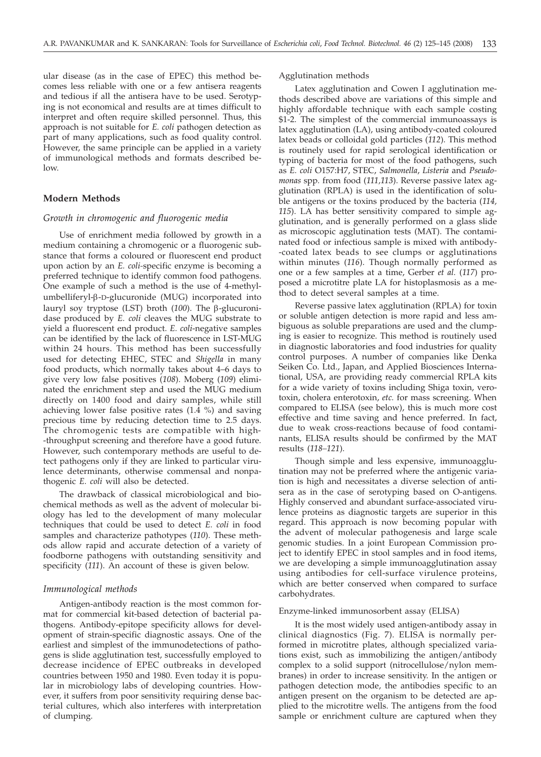ular disease (as in the case of EPEC) this method becomes less reliable with one or a few antisera reagents and tedious if all the antisera have to be used. Serotyping is not economical and results are at times difficult to interpret and often require skilled personnel. Thus, this approach is not suitable for *E. coli* pathogen detection as part of many applications, such as food quality control. However, the same principle can be applied in a variety of immunological methods and formats described below.

# **Modern Methods**

# *Growth in chromogenic and fluorogenic media*

Use of enrichment media followed by growth in a medium containing a chromogenic or a fluorogenic substance that forms a coloured or fluorescent end product upon action by an *E. coli-*specific enzyme is becoming a preferred technique to identify common food pathogens. One example of such a method is the use of 4-methylumbelliferyl-b-D-glucuronide (MUG) incorporated into lauryl soy tryptose (LST) broth (100). The β-glucuronidase produced by *E. coli* cleaves the MUG substrate to yield a fluorescent end product. *E. coli*-negative samples can be identified by the lack of fluorescence in LST-MUG within 24 hours. This method has been successfully used for detecting EHEC, STEC and *Shigella* in many food products, which normally takes about 4–6 days to give very low false positives (*108*). Moberg (*109*) eliminated the enrichment step and used the MUG medium directly on 1400 food and dairy samples, while still achieving lower false positive rates (1.4 %) and saving precious time by reducing detection time to 2.5 days. The chromogenic tests are compatible with high- -throughput screening and therefore have a good future. However, such contemporary methods are useful to detect pathogens only if they are linked to particular virulence determinants, otherwise commensal and nonpathogenic *E. coli* will also be detected.

The drawback of classical microbiological and biochemical methods as well as the advent of molecular biology has led to the development of many molecular techniques that could be used to detect *E. coli* in food samples and characterize pathotypes (*110*). These methods allow rapid and accurate detection of a variety of foodborne pathogens with outstanding sensitivity and specificity (*111*). An account of these is given below.

### *Immunological methods*

Antigen-antibody reaction is the most common format for commercial kit-based detection of bacterial pathogens. Antibody-epitope specificity allows for development of strain-specific diagnostic assays. One of the earliest and simplest of the immunodetections of pathogens is slide agglutination test, successfully employed to decrease incidence of EPEC outbreaks in developed countries between 1950 and 1980. Even today it is popular in microbiology labs of developing countries. However, it suffers from poor sensitivity requiring dense bacterial cultures, which also interferes with interpretation of clumping.

# Agglutination methods

Latex agglutination and Cowen I agglutination methods described above are variations of this simple and highly affordable technique with each sample costing \$1-2. The simplest of the commercial immunoassays is latex agglutination (LA), using antibody-coated coloured latex beads or colloidal gold particles (*112*). This method is routinely used for rapid serological identification or typing of bacteria for most of the food pathogens, such as *E. coli* O157:H7, STEC, *Salmonella*, *Listeria* and *Pseudomonas* spp*.* from food (*111,113*). Reverse passive latex agglutination (RPLA) is used in the identification of soluble antigens or the toxins produced by the bacteria (*114, 115*). LA has better sensitivity compared to simple agglutination, and is generally performed on a glass slide as microscopic agglutination tests (MAT). The contaminated food or infectious sample is mixed with antibody- -coated latex beads to see clumps or agglutinations within minutes (*116*). Though normally performed as one or a few samples at a time, Gerber *et al.* (*117*) proposed a microtitre plate LA for histoplasmosis as a method to detect several samples at a time.

Reverse passive latex agglutination (RPLA) for toxin or soluble antigen detection is more rapid and less ambiguous as soluble preparations are used and the clumping is easier to recognize. This method is routinely used in diagnostic laboratories and food industries for quality control purposes. A number of companies like Denka Seiken Co. Ltd., Japan, and Applied Biosciences International, USA, are providing ready commercial RPLA kits for a wide variety of toxins including Shiga toxin, verotoxin, cholera enterotoxin, *etc.* for mass screening. When compared to ELISA (see below), this is much more cost effective and time saving and hence preferred. In fact, due to weak cross-reactions because of food contaminants, ELISA results should be confirmed by the MAT results (*118–121*).

Though simple and less expensive, immunoagglutination may not be preferred where the antigenic variation is high and necessitates a diverse selection of antisera as in the case of serotyping based on O-antigens. Highly conserved and abundant surface-associated virulence proteins as diagnostic targets are superior in this regard. This approach is now becoming popular with the advent of molecular pathogenesis and large scale genomic studies. In a joint European Commission project to identify EPEC in stool samples and in food items, we are developing a simple immunoagglutination assay using antibodies for cell-surface virulence proteins, which are better conserved when compared to surface carbohydrates.

# Enzyme-linked immunosorbent assay (ELISA)

It is the most widely used antigen-antibody assay in clinical diagnostics (Fig. 7). ELISA is normally performed in microtitre plates, although specialized variations exist, such as immobilizing the antigen/antibody complex to a solid support (nitrocellulose/nylon membranes) in order to increase sensitivity. In the antigen or pathogen detection mode, the antibodies specific to an antigen present on the organism to be detected are applied to the microtitre wells. The antigens from the food sample or enrichment culture are captured when they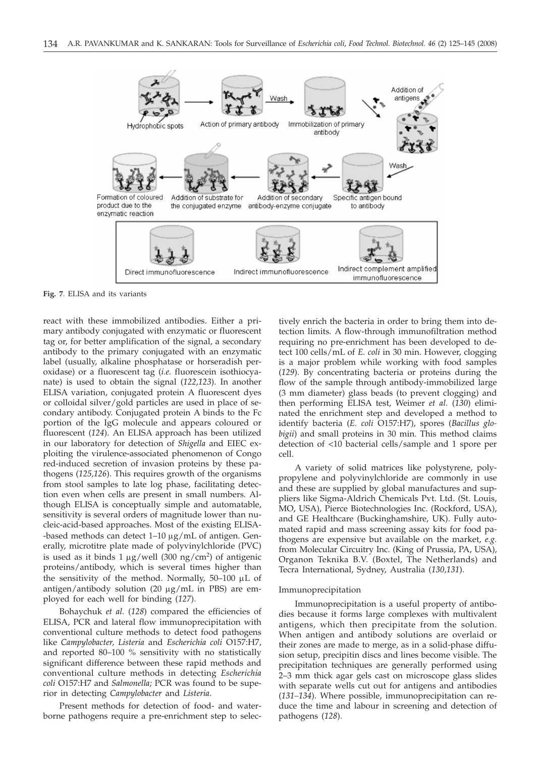

**Fig. 7**. ELISA and its variants

react with these immobilized antibodies. Either a primary antibody conjugated with enzymatic or fluorescent tag or, for better amplification of the signal, a secondary antibody to the primary conjugated with an enzymatic label (usually, alkaline phosphatase or horseradish peroxidase) or a fluorescent tag (*i.e.* fluorescein isothiocyanate) is used to obtain the signal (*122,123*). In another ELISA variation, conjugated protein A fluorescent dyes or colloidal silver/gold particles are used in place of secondary antibody. Conjugated protein A binds to the Fc portion of the IgG molecule and appears coloured or fluorescent (*124*). An ELISA approach has been utilized in our laboratory for detection of *Shigella* and EIEC exploiting the virulence-associated phenomenon of Congo red-induced secretion of invasion proteins by these pathogens (*125,126*). This requires growth of the organisms from stool samples to late log phase, facilitating detection even when cells are present in small numbers. Although ELISA is conceptually simple and automatable, sensitivity is several orders of magnitude lower than nucleic-acid-based approaches. Most of the existing ELISA- -based methods can detect  $1-10 \mu g/mL$  of antigen. Generally, microtitre plate made of polyvinylchloride (PVC) is used as it binds 1  $\mu$ g/well (300 ng/cm<sup>2</sup>) of antigenic proteins/antibody, which is several times higher than the sensitivity of the method. Normally,  $50-100$   $\mu$ L of antigen/antibody solution (20  $\mu$ g/mL in PBS) are employed for each well for binding (*127*).

Bohaychuk *et al.* (*128*) compared the efficiencies of ELISA, PCR and lateral flow immunoprecipitation with conventional culture methods to detect food pathogens like *Campylobacter, Listeria* and *Escherichia coli* O157:H7, and reported 80–100 % sensitivity with no statistically significant difference between these rapid methods and conventional culture methods in detecting *Escherichia coli* O157:H7 and *Salmonella;* PCR was found to be superior in detecting *Campylobacter* and *Listeria*.

Present methods for detection of food- and waterborne pathogens require a pre-enrichment step to selec-

tively enrich the bacteria in order to bring them into detection limits. A flow-through immunofiltration method requiring no pre-enrichment has been developed to detect 100 cells/mL of *E. coli* in 30 min. However, clogging is a major problem while working with food samples (*129*). By concentrating bacteria or proteins during the flow of the sample through antibody-immobilized large (3 mm diameter) glass beads (to prevent clogging) and then performing ELISA test, Weimer *et al.* (*130*) eliminated the enrichment step and developed a method to identify bacteria (*E. coli* O157:H7), spores (*Bacillus globigii*) and small proteins in 30 min. This method claims detection of <10 bacterial cells/sample and 1 spore per cell.

A variety of solid matrices like polystyrene, polypropylene and polyvinylchloride are commonly in use and these are supplied by global manufactures and suppliers like Sigma-Aldrich Chemicals Pvt. Ltd. (St. Louis, MO, USA), Pierce Biotechnologies Inc. (Rockford, USA), and GE Healthcare (Buckinghamshire, UK). Fully automated rapid and mass screening assay kits for food pathogens are expensive but available on the market, *e.g.* from Molecular Circuitry Inc. (King of Prussia, PA, USA), Organon Teknika B.V. (Boxtel, The Netherlands) and Tecra International, Sydney, Australia (*130,131*).

### Immunoprecipitation

Immunoprecipitation is a useful property of antibodies because it forms large complexes with multivalent antigens, which then precipitate from the solution. When antigen and antibody solutions are overlaid or their zones are made to merge, as in a solid-phase diffusion setup, precipitin discs and lines become visible. The precipitation techniques are generally performed using 2–3 mm thick agar gels cast on microscope glass slides with separate wells cut out for antigens and antibodies (*131–134*). Where possible, immunoprecipitation can reduce the time and labour in screening and detection of pathogens (*128*).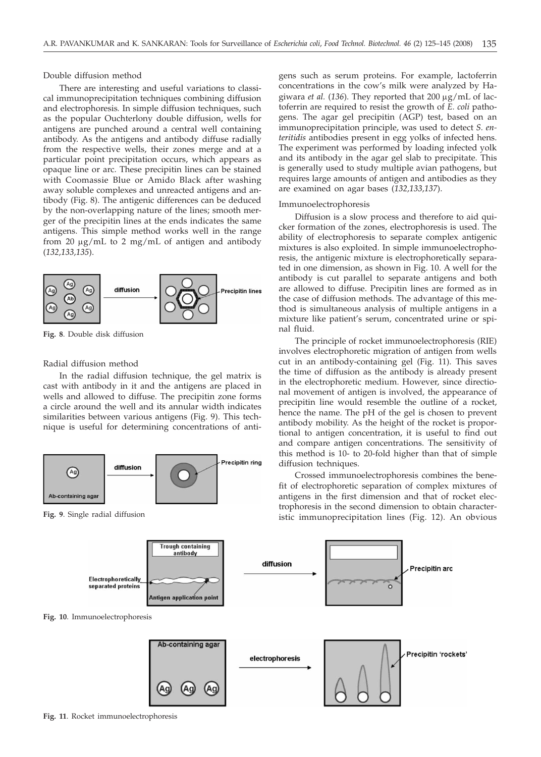Double diffusion method

There are interesting and useful variations to classical immunoprecipitation techniques combining diffusion and electrophoresis*.* In simple diffusion techniques, such as the popular Ouchterlony double diffusion, wells for antigens are punched around a central well containing antibody. As the antigens and antibody diffuse radially from the respective wells, their zones merge and at a particular point precipitation occurs, which appears as opaque line or arc. These precipitin lines can be stained with Coomassie Blue or Amido Black after washing away soluble complexes and unreacted antigens and antibody (Fig. 8). The antigenic differences can be deduced by the non-overlapping nature of the lines; smooth merger of the precipitin lines at the ends indicates the same antigens. This simple method works well in the range from 20  $\mu$ g/mL to 2 mg/mL of antigen and antibody (*132,133,135*).



**Fig. 8**. Double disk diffusion

# Radial diffusion method

In the radial diffusion technique, the gel matrix is cast with antibody in it and the antigens are placed in wells and allowed to diffuse. The precipitin zone forms a circle around the well and its annular width indicates similarities between various antigens (Fig. 9). This technique is useful for determining concentrations of anti-



**Fig. 9**. Single radial diffusion

gens such as serum proteins. For example, lactoferrin concentrations in the cow's milk were analyzed by Hagiwara *et al.* (136). They reported that 200 µg/mL of lactoferrin are required to resist the growth of *E. coli* pathogens. The agar gel precipitin (AGP) test, based on an immunoprecipitation principle, was used to detect *S. enteritidis* antibodies present in egg yolks of infected hens. The experiment was performed by loading infected yolk and its antibody in the agar gel slab to precipitate. This is generally used to study multiple avian pathogens, but requires large amounts of antigen and antibodies as they are examined on agar bases (*132,133,137*).

### Immunoelectrophoresis

Diffusion is a slow process and therefore to aid quicker formation of the zones, electrophoresis is used. The ability of electrophoresis to separate complex antigenic mixtures is also exploited. In simple immunoelectrophoresis, the antigenic mixture is electrophoretically separated in one dimension, as shown in Fig. 10. A well for the antibody is cut parallel to separate antigens and both are allowed to diffuse. Precipitin lines are formed as in the case of diffusion methods. The advantage of this method is simultaneous analysis of multiple antigens in a mixture like patient's serum, concentrated urine or spinal fluid.

The principle of rocket immunoelectrophoresis (RIE) involves electrophoretic migration of antigen from wells cut in an antibody-containing gel (Fig. 11). This saves the time of diffusion as the antibody is already present in the electrophoretic medium. However, since directional movement of antigen is involved, the appearance of precipitin line would resemble the outline of a rocket, hence the name. The pH of the gel is chosen to prevent antibody mobility. As the height of the rocket is proportional to antigen concentration, it is useful to find out and compare antigen concentrations. The sensitivity of this method is 10- to 20-fold higher than that of simple diffusion techniques.

Crossed immunoelectrophoresis combines the benefit of electrophoretic separation of complex mixtures of antigens in the first dimension and that of rocket electrophoresis in the second dimension to obtain characteristic immunoprecipitation lines (Fig. 12). An obvious



**Fig. 11**. Rocket immunoelectrophoresis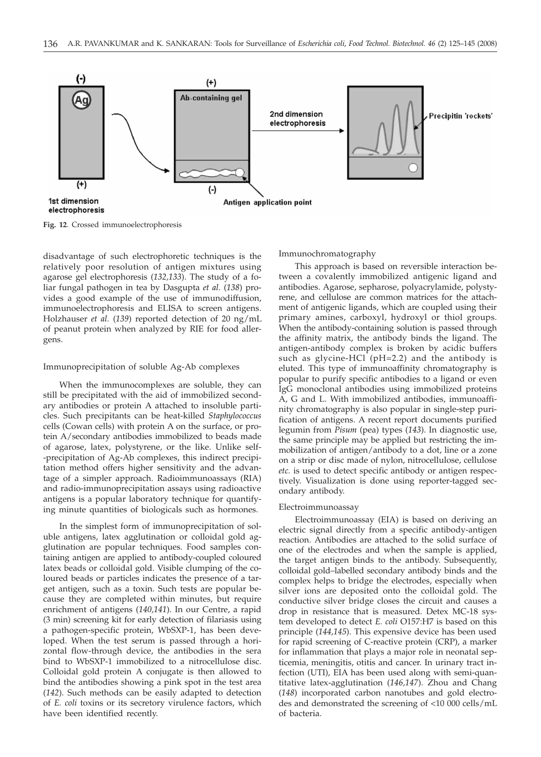

**Fig. 12**. Crossed immunoelectrophoresis

disadvantage of such electrophoretic techniques is the relatively poor resolution of antigen mixtures using agarose gel electrophoresis (*132,133*). The study of a foliar fungal pathogen in tea by Dasgupta *et al.* (*138*) provides a good example of the use of immunodiffusion, immunoelectrophoresis and ELISA to screen antigens. Holzhauser *et al.* (*139*) reported detection of 20 ng/mL of peanut protein when analyzed by RIE for food allergens.

#### Immunoprecipitation of soluble Ag-Ab complexes

When the immunocomplexes are soluble, they can still be precipitated with the aid of immobilized secondary antibodies or protein A attached to insoluble particles. Such precipitants can be heat-killed *Staphylococcus* cells (Cowan cells) with protein A on the surface, or protein A/secondary antibodies immobilized to beads made of agarose, latex, polystyrene, or the like. Unlike self- -precipitation of Ag-Ab complexes, this indirect precipitation method offers higher sensitivity and the advantage of a simpler approach. Radioimmunoassays (RIA) and radio-immunoprecipitation assays using radioactive antigens is a popular laboratory technique for quantifying minute quantities of biologicals such as hormones.

In the simplest form of immunoprecipitation of soluble antigens, latex agglutination or colloidal gold agglutination are popular techniques. Food samples containing antigen are applied to antibody-coupled coloured latex beads or colloidal gold. Visible clumping of the coloured beads or particles indicates the presence of a target antigen, such as a toxin. Such tests are popular because they are completed within minutes, but require enrichment of antigens (*140,141*). In our Centre, a rapid (3 min) screening kit for early detection of filariasis using a pathogen-specific protein, WbSXP-1, has been developed. When the test serum is passed through a horizontal flow-through device, the antibodies in the sera bind to WbSXP-1 immobilized to a nitrocellulose disc. Colloidal gold protein A conjugate is then allowed to bind the antibodies showing a pink spot in the test area (*142*). Such methods can be easily adapted to detection of *E. coli* toxins or its secretory virulence factors, which have been identified recently.

Immunochromatography

This approach is based on reversible interaction between a covalently immobilized antigenic ligand and antibodies. Agarose, sepharose, polyacrylamide, polystyrene, and cellulose are common matrices for the attachment of antigenic ligands, which are coupled using their primary amines, carboxyl, hydroxyl or thiol groups. When the antibody-containing solution is passed through the affinity matrix, the antibody binds the ligand. The antigen-antibody complex is broken by acidic buffers such as glycine-HCl (pH=2.2) and the antibody is eluted. This type of immunoaffinity chromatography is popular to purify specific antibodies to a ligand or even IgG monoclonal antibodies using immobilized proteins A, G and L. With immobilized antibodies, immunoaffinity chromatography is also popular in single-step purification of antigens. A recent report documents purified legumin from *Pisum* (pea) types (*143*). In diagnostic use, the same principle may be applied but restricting the immobilization of antigen/antibody to a dot, line or a zone on a strip or disc made of nylon, nitrocellulose, cellulose *etc.* is used to detect specific antibody or antigen respectively. Visualization is done using reporter-tagged secondary antibody.

### Electroimmunoassay

Electroimmunoassay (EIA) is based on deriving an electric signal directly from a specific antibody-antigen reaction. Antibodies are attached to the solid surface of one of the electrodes and when the sample is applied, the target antigen binds to the antibody. Subsequently, colloidal gold–labelled secondary antibody binds and the complex helps to bridge the electrodes, especially when silver ions are deposited onto the colloidal gold. The conductive silver bridge closes the circuit and causes a drop in resistance that is measured. Detex MC-18 system developed to detect *E. coli* O157:H7 is based on this principle (*144,145*). This expensive device has been used for rapid screening of C-reactive protein (CRP), a marker for inflammation that plays a major role in neonatal septicemia, meningitis, otitis and cancer. In urinary tract infection (UTI), EIA has been used along with semi-quantitative latex-agglutination (*146,147*). Zhou and Chang (*148*) incorporated carbon nanotubes and gold electrodes and demonstrated the screening of <10 000 cells/mL of bacteria.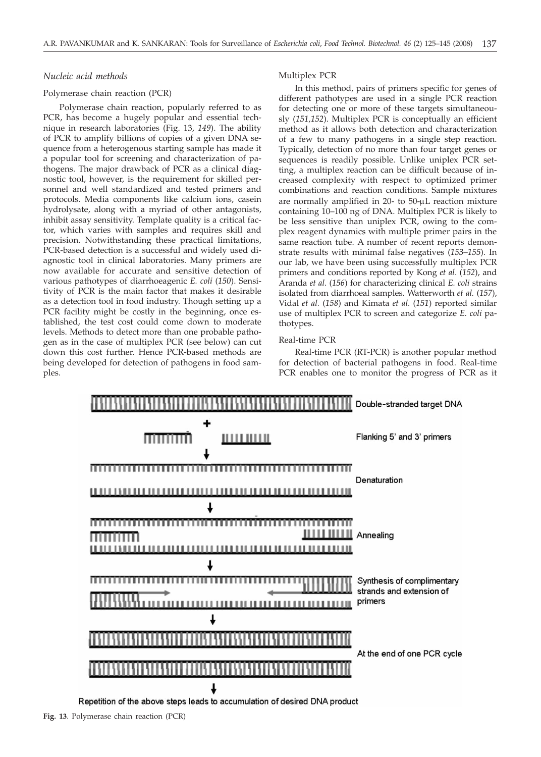# *Nucleic acid methods*

# Polymerase chain reaction (PCR)

Polymerase chain reaction, popularly referred to as PCR, has become a hugely popular and essential technique in research laboratories (Fig. 13, *149*). The ability of PCR to amplify billions of copies of a given DNA sequence from a heterogenous starting sample has made it a popular tool for screening and characterization of pathogens. The major drawback of PCR as a clinical diagnostic tool, however, is the requirement for skilled personnel and well standardized and tested primers and protocols. Media components like calcium ions, casein hydrolysate, along with a myriad of other antagonists, inhibit assay sensitivity. Template quality is a critical factor, which varies with samples and requires skill and precision. Notwithstanding these practical limitations, PCR-based detection is a successful and widely used diagnostic tool in clinical laboratories. Many primers are now available for accurate and sensitive detection of various pathotypes of diarrhoeagenic *E. coli* (*150*). Sensitivity of PCR is the main factor that makes it desirable as a detection tool in food industry. Though setting up a PCR facility might be costly in the beginning, once established, the test cost could come down to moderate levels. Methods to detect more than one probable pathogen as in the case of multiplex PCR (see below) can cut down this cost further. Hence PCR-based methods are being developed for detection of pathogens in food samples.

# Multiplex PCR

In this method, pairs of primers specific for genes of different pathotypes are used in a single PCR reaction for detecting one or more of these targets simultaneously (*151,152*). Multiplex PCR is conceptually an efficient method as it allows both detection and characterization of a few to many pathogens in a single step reaction. Typically, detection of no more than four target genes or sequences is readily possible. Unlike uniplex PCR setting, a multiplex reaction can be difficult because of increased complexity with respect to optimized primer combinations and reaction conditions. Sample mixtures are normally amplified in  $20-$  to  $50-<sub>μ</sub>L$  reaction mixture containing 10–100 ng of DNA. Multiplex PCR is likely to be less sensitive than uniplex PCR, owing to the complex reagent dynamics with multiple primer pairs in the same reaction tube. A number of recent reports demonstrate results with minimal false negatives (*153–155*). In our lab, we have been using successfully multiplex PCR primers and conditions reported by Kong *et al*. (*152*), and Aranda *et al*. (*156*) for characterizing clinical *E. coli* strains isolated from diarrhoeal samples. Watterworth *et al.* (*157*), Vidal *et al.* (*158*) and Kimata *et al.* (*151*) reported similar use of multiplex PCR to screen and categorize *E. coli* pathotypes.

### Real-time PCR

Real-time PCR (RT-PCR) is another popular method for detection of bacterial pathogens in food. Real-time PCR enables one to monitor the progress of PCR as it

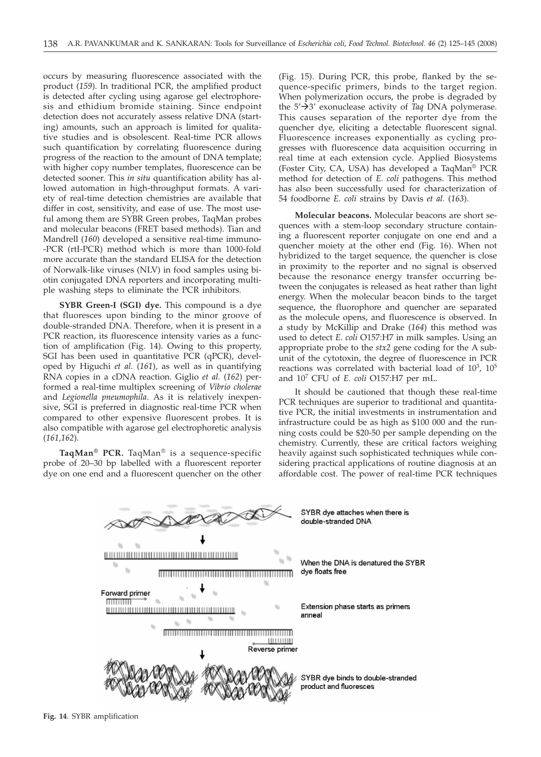occurs by measuring fluorescence associated with the product (*159*). In traditional PCR, the amplified product is detected after cycling using agarose gel electrophoresis and ethidium bromide staining. Since endpoint detection does not accurately assess relative DNA (starting) amounts, such an approach is limited for qualitative studies and is obsolescent. Real-time PCR allows such quantification by correlating fluorescence during progress of the reaction to the amount of DNA template; with higher copy number templates, fluorescence can be detected sooner. This *in situ* quantification ability has allowed automation in high-throughput formats. A variety of real-time detection chemistries are available that differ in cost, sensitivity, and ease of use. The most useful among them are SYBR Green probes, TaqMan probes and molecular beacons (FRET based methods). Tian and Mandrell (*160*) developed a sensitive real-time immuno- -PCR (rtI-PCR) method which is more than 1000-fold more accurate than the standard ELISA for the detection of Norwalk-like viruses (NLV) in food samples using biotin conjugated DNA reporters and incorporating multiple washing steps to eliminate the PCR inhibitors.

**SYBR Green-I (SGI) dye.** This compound is a dye that fluoresces upon binding to the minor groove of double-stranded DNA. Therefore, when it is present in a PCR reaction, its fluorescence intensity varies as a function of amplification (Fig. 14). Owing to this property, SGI has been used in quantitative PCR (qPCR), developed by Higuchi *et al.* (*161*), as well as in quantifying RNA copies in a cDNA reaction. Giglio *et al.* (*162*) performed a real-time multiplex screening of *Vibrio cholerae* and *Legionella pneumophila*. As it is relatively inexpensive, SGI is preferred in diagnostic real-time PCR when compared to other expensive fluorescent probes. It is also compatible with agarose gel electrophoretic analysis (*161,162*).

**TaqMan® PCR.** TaqMan® is a sequence-specific probe of 20–30 bp labelled with a fluorescent reporter dye on one end and a fluorescent quencher on the other (Fig. 15). During PCR, this probe, flanked by the sequence-specific primers, binds to the target region. When polymerization occurs, the probe is degraded by the  $5'$  $\rightarrow$  $3'$  exonuclease activity of *Taq* DNA polymerase. This causes separation of the reporter dye from the quencher dye, eliciting a detectable fluorescent signal. Fluorescence increases exponentially as cycling progresses with fluorescence data acquisition occurring in real time at each extension cycle. Applied Biosystems (Foster City, CA, USA) has developed a TaqMan® PCR method for detection of *E. coli* pathogens. This method has also been successfully used for characterization of 54 foodborne *E. coli* strains by Davis *et al.* (*163*).

**Molecular beacons.** Molecular beacons are short sequences with a stem-loop secondary structure containing a fluorescent reporter conjugate on one end and a quencher moiety at the other end (Fig. 16). When not hybridized to the target sequence, the quencher is close in proximity to the reporter and no signal is observed because the resonance energy transfer occurring between the conjugates is released as heat rather than light energy. When the molecular beacon binds to the target sequence, the fluorophore and quencher are separated as the molecule opens, and fluorescence is observed. In a study by McKillip and Drake (*164*) this method was used to detect *E. coli* O157:H7 in milk samples. Using an appropriate probe to the *stx2* gene coding for the A subunit of the cytotoxin, the degree of fluorescence in PCR reactions was correlated with bacterial load of  $10^3$ ,  $10^5$ and 107 CFU of *E. coli* O157:H7 per mL.

It should be cautioned that though these real-time PCR techniques are superior to traditional and quantitative PCR, the initial investments in instrumentation and infrastructure could be as high as \$100 000 and the running costs could be \$20-50 per sample depending on the chemistry. Currently, these are critical factors weighing heavily against such sophisticated techniques while considering practical applications of routine diagnosis at an affordable cost. The power of real-time PCR techniques

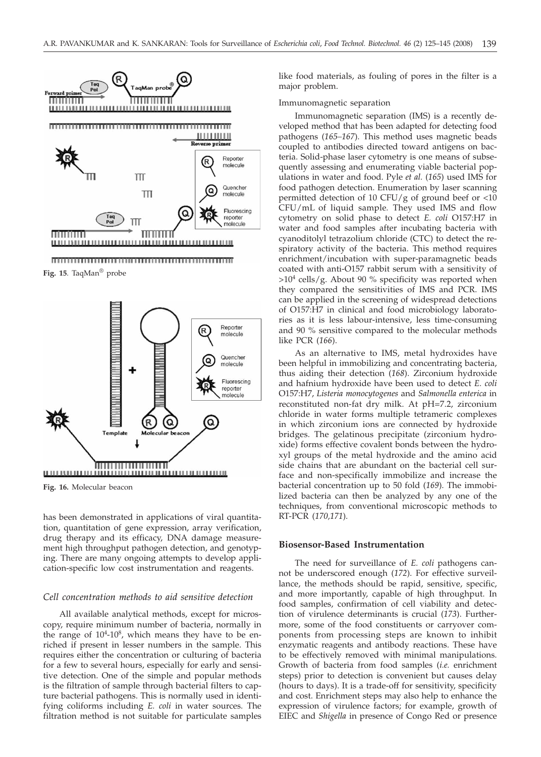

**Fig. 15**. TaqMan® probe



**Fig. 16.** Molecular beacon

has been demonstrated in applications of viral quantitation, quantitation of gene expression, array verification, drug therapy and its efficacy, DNA damage measurement high throughput pathogen detection, and genotyping. There are many ongoing attempts to develop application-specific low cost instrumentation and reagents.

### *Cell concentration methods to aid sensitive detection*

All available analytical methods, except for microscopy, require minimum number of bacteria, normally in the range of  $10<sup>4</sup>$ -10<sup>8</sup>, which means they have to be enriched if present in lesser numbers in the sample. This requires either the concentration or culturing of bacteria for a few to several hours, especially for early and sensitive detection. One of the simple and popular methods is the filtration of sample through bacterial filters to capture bacterial pathogens. This is normally used in identifying coliforms including *E. coli* in water sources. The filtration method is not suitable for particulate samples

like food materials, as fouling of pores in the filter is a major problem.

#### Immunomagnetic separation

Immunomagnetic separation (IMS) is a recently developed method that has been adapted for detecting food pathogens (*165–167*). This method uses magnetic beads coupled to antibodies directed toward antigens on bacteria. Solid-phase laser cytometry is one means of subsequently assessing and enumerating viable bacterial populations in water and food. Pyle *et al.* (*165*) used IMS for food pathogen detection. Enumeration by laser scanning permitted detection of 10 CFU/g of ground beef or <10 CFU/mL of liquid sample*.* They used IMS and flow cytometry on solid phase to detect *E. coli* O157:H7 in water and food samples after incubating bacteria with cyanoditolyl tetrazolium chloride (CTC) to detect the respiratory activity of the bacteria. This method requires enrichment/incubation with super-paramagnetic beads coated with anti-O157 rabbit serum with a sensitivity of  $>10<sup>4</sup>$  cells/g. About 90 % specificity was reported when they compared the sensitivities of IMS and PCR. IMS can be applied in the screening of widespread detections of O157:H7 in clinical and food microbiology laboratories as it is less labour-intensive, less time-consuming and 90 % sensitive compared to the molecular methods like PCR (*166*).

As an alternative to IMS, metal hydroxides have been helpful in immobilizing and concentrating bacteria, thus aiding their detection (*168*). Zirconium hydroxide and hafnium hydroxide have been used to detect *E. coli* O157:H7, *Listeria monocytogenes* and *Salmonella enterica* in reconstituted non-fat dry milk. At pH=7.2, zirconium chloride in water forms multiple tetrameric complexes in which zirconium ions are connected by hydroxide bridges. The gelatinous precipitate (zirconium hydroxide) forms effective covalent bonds between the hydroxyl groups of the metal hydroxide and the amino acid side chains that are abundant on the bacterial cell surface and non-specifically immobilize and increase the bacterial concentration up to 50 fold (*169*). The immobilized bacteria can then be analyzed by any one of the techniques, from conventional microscopic methods to RT-PCR (*170,171*).

### **Biosensor-Based Instrumentation**

The need for surveillance of *E. coli* pathogens cannot be underscored enough (*172*). For effective surveillance, the methods should be rapid, sensitive, specific, and more importantly, capable of high throughput. In food samples, confirmation of cell viability and detection of virulence determinants is crucial (*173*). Furthermore, some of the food constituents or carryover components from processing steps are known to inhibit enzymatic reagents and antibody reactions. These have to be effectively removed with minimal manipulations. Growth of bacteria from food samples (*i.e.* enrichment steps) prior to detection is convenient but causes delay (hours to days). It is a trade-off for sensitivity, specificity and cost. Enrichment steps may also help to enhance the expression of virulence factors; for example, growth of EIEC and *Shigella* in presence of Congo Red or presence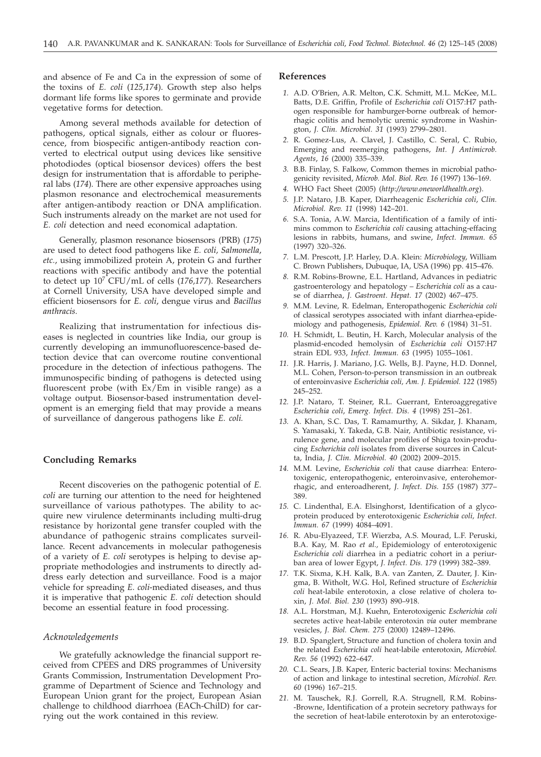and absence of Fe and Ca in the expression of some of the toxins of *E. coli* (*125,174*). Growth step also helps dormant life forms like spores to germinate and provide vegetative forms for detection.

Among several methods available for detection of pathogens, optical signals, either as colour or fluorescence, from biospecific antigen-antibody reaction converted to electrical output using devices like sensitive photodiodes (optical biosensor devices) offers the best design for instrumentation that is affordable to peripheral labs (*174*). There are other expensive approaches using plasmon resonance and electrochemical measurements after antigen-antibody reaction or DNA amplification. Such instruments already on the market are not used for *E. coli* detection and need economical adaptation.

Generally, plasmon resonance biosensors (PRB) (*175*) are used to detect food pathogens like *E. coli, Salmonella*, *etc.*, using immobilized protein A, protein G and further reactions with specific antibody and have the potential to detect up 107 CFU/mL of cells (*176,177*). Researchers at Cornell University, USA have developed simple and efficient biosensors for *E. coli*, dengue virus and *Bacillus anthracis.*

Realizing that instrumentation for infectious diseases is neglected in countries like India, our group is currently developing an immunofluorescence-based detection device that can overcome routine conventional procedure in the detection of infectious pathogens. The immunospecific binding of pathogens is detected using fluorescent probe (with Ex/Em in visible range) as a voltage output. Biosensor-based instrumentation development is an emerging field that may provide a means of surveillance of dangerous pathogens like *E. coli.*

# **Concluding Remarks**

Recent discoveries on the pathogenic potential of *E. coli* are turning our attention to the need for heightened surveillance of various pathotypes. The ability to acquire new virulence determinants including multi-drug resistance by horizontal gene transfer coupled with the abundance of pathogenic strains complicates surveillance. Recent advancements in molecular pathogenesis of a variety of *E. coli* serotypes is helping to devise appropriate methodologies and instruments to directly address early detection and surveillance. Food is a major vehicle for spreading *E. coli*-mediated diseases, and thus it is imperative that pathogenic *E. coli* detection should become an essential feature in food processing.

### *Acknowledgements*

We gratefully acknowledge the financial support received from CPEES and DRS programmes of University Grants Commission, Instrumentation Development Programme of Department of Science and Technology and European Union grant for the project, European Asian challenge to childhood diarrhoea (EACh-ChilD) for carrying out the work contained in this review.

# **References**

- *1.* A.D. O'Brien, A.R. Melton, C.K. Schmitt, M.L. McKee, M.L. Batts, D.E. Griffin, Profile of *Escherichia coli* O157:H7 pathogen responsible for hamburger-borne outbreak of hemorrhagic colitis and hemolytic uremic syndrome in Washington, *J. Clin. Microbiol. 31* (1993) 2799–2801.
- *2.* R. Gomez-Lus, A. Clavel, J. Castillo, C. Seral, C. Rubio, Emerging and reemerging pathogens, *Int. J Antimicrob. Agents*, *16* (2000) 335–339.
- *3.* B.B. Finlay, S. Falkow, Common themes in microbial pathogenicity revisited, *Microb. Mol. Biol. Rev. 16* (1997) 136–169.
- *4.* WHO Fact Sheet (2005) (*http://www.oneworldhealth.org*).
- *5.* J.P. Nataro, J.B. Kaper, Diarrheagenic *Escherichia coli*, *Clin. Microbiol. Rev. 11* (1998) 142–201.
- *6.* S.A. Tonia, A.W. Marcia, Identification of a family of intimins common to *Escherichia coli* causing attaching-effacing lesions in rabbits, humans, and swine, *Infect. Immun. 65* (1997) 320–326.
- *7.* L.M. Prescott, J.P. Harley, D.A. Klein: *Microbiology*, William C. Brown Publishers, Dubuque, IA, USA (1996) pp. 415–476.
- *8.* R.M. Robins-Browne, E.L. Hartland, Advances in pediatric gastroenterology and hepatology – *Escherichia coli* as a cause of diarrhea, *J. Gastroent. Hepat. 17* (2002) 467–475.
- *9.* M.M. Levine, R. Edelman, Enteropathogenic *Escherichia coli* of classical serotypes associated with infant diarrhea-epidemiology and pathogenesis, *Epidemiol. Rev. 6* (1984) 31–51.
- *10.* H. Schmidt, L. Beutin, H. Karch, Molecular analysis of the plasmid-encoded hemolysin of *Escherichia coli* O157:H7 strain EDL 933, *Infect. Immun. 63* (1995) 1055–1061.
- *11.* J.R. Harris, J. Mariano, J.G. Wells, B.J. Payne, H.D. Donnel, M.L. Cohen, Person-to-person transmission in an outbreak of enteroinvasive *Escherichia coli, Am. J. Epidemiol. 122* (1985) 245–252.
- *12.* J.P. Nataro, T. Steiner, R.L. Guerrant, Enteroaggregative *Escherichia coli*, *Emerg. Infect. Dis. 4* (1998) 251–261.
- *13.* A. Khan, S.C. Das, T. Ramamurthy, A. Sikdar, J. Khanam, S. Yamasaki, Y. Takeda, G.B. Nair, Antibiotic resistance, virulence gene, and molecular profiles of Shiga toxin-producing *Escherichia coli* isolates from diverse sources in Calcutta, India, *J. Clin. Microbiol. 40* (2002) 2009–2015.
- *14.* M.M. Levine, *Escherichia coli* that cause diarrhea: Enterotoxigenic, enteropathogenic, enteroinvasive, enterohemorrhagic, and enteroadherent, *J. Infect. Dis. 155* (1987) 377– 389.
- *15.* C. Lindenthal, E.A. Elsinghorst, Identification of a glycoprotein produced by enterotoxigenic *Escherichia coli, Infect. Immun. 67* (1999) 4084–4091.
- *16.* R. Abu-Elyazeed, T.F. Wierzba, A.S. Mourad, L.F. Peruski, B.A. Kay, M. Rao *et al.,* Epidemiology of enterotoxigenic *Escherichia coli* diarrhea in a pediatric cohort in a periurban area of lower Egypt, *J. Infect. Dis. 179* (1999) 382–389.
- *17.* T.K. Sixma, K.H. Kalk, B.A. van Zanten, Z. Dauter, J. Kingma, B. Witholt, W.G. Hol, Refined structure of *Escherichia coli* heat-labile enterotoxin, a close relative of cholera toxin, *J. Mol. Biol. 230* (1993) 890–918.
- *18.* A.L. Horstman, M.J. Kuehn, Enterotoxigenic *Escherichia coli* secretes active heat-labile enterotoxin *via* outer membrane vesicles, *J. Biol. Chem. 275* (2000) 12489–12496.
- *19.* B.D. Spanglert, Structure and function of cholera toxin and the related *Escherichia coli* heat-labile enterotoxin, *Microbiol. Rev. 56* (1992) 622–647.
- *20.* C.L. Sears, J.B. Kaper, Enteric bacterial toxins: Mechanisms of action and linkage to intestinal secretion, *Microbiol. Rev. 60* (1996) 167–215.
- *21.* M. Tauschek, R.J. Gorrell, R.A. Strugnell, R.M. Robins- -Browne, Identification of a protein secretory pathways for the secretion of heat-labile enterotoxin by an enterotoxige-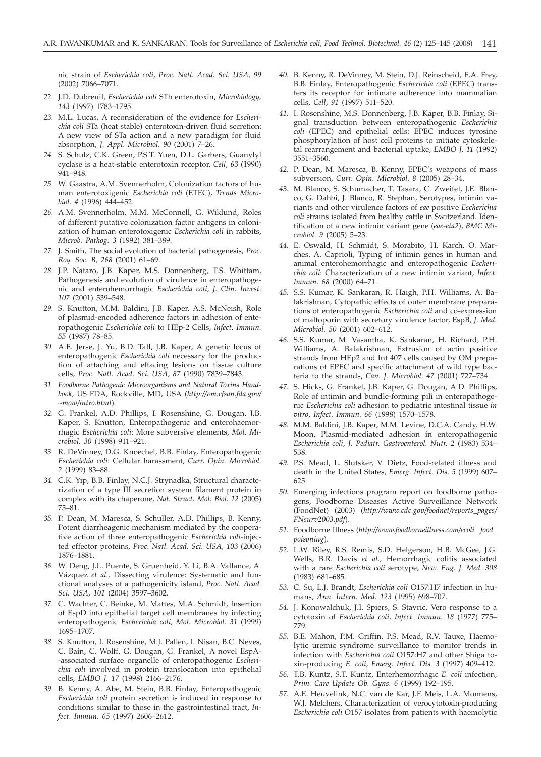nic strain of *Escherichia coli*, *Proc. Natl. Acad. Sci. USA, 99* (2002) 7066–7071.

- *22.* J.D. Dubreuil, *Escherichia coli* STb enterotoxin, *Microbiology, 143* (1997) 1783–1795.
- *23.* M.L. Lucas, A reconsideration of the evidence for *Escherichia coli* STa (heat stable) enterotoxin-driven fluid secretion: A new view of STa action and a new paradigm for fluid absorption, *J. Appl. Microbiol. 90* (2001) 7–26.
- *24.* S. Schulz, C.K. Green, P.S.T. Yuen, D.L. Garbers, Guanylyl cyclase is a heat-stable enterotoxin receptor, *Cell, 63* (1990) 941–948.
- *25.* W. Gaastra, A.M. Svennerholm, Colonization factors of human enterotoxigenic *Escherichia coli* (ETEC), *Trends Microbiol. 4* (1996) 444–452.
- *26.* A.M. Svennerholm, M.M. McConnell, G. Wiklund, Roles of different putative colonization factor antigens in colonization of human enterotoxigenic *Escherichia coli* in rabbits, *Microb. Pathog. 3* (1992) 381–389.
- *27.* J. Smith, The social evolution of bacterial pathogenesis, *Proc. Roy. Soc. B, 268* (2001) 61–69.
- *28.* J.P. Nataro, J.B. Kaper, M.S. Donnenberg, T.S. Whittam, Pathogenesis and evolution of virulence in enteropathogenic and enterohemorrhagic *Escherichia coli, J. Clin. Invest. 107* (2001) 539–548.
- *29.* S. Knutton, M.M. Baldini, J.B. Kaper, A.S. McNeish, Role of plasmid-encoded adherence factors in adhesion of enteropathogenic *Escherichia coli* to HEp-2 Cells, *Infect. Immun. 55* (1987) 78–85.
- *30.* A.E. Jerse, J. Yu, B.D. Tall, J.B. Kaper, A genetic locus of enteropathogenic *Escherichia coli* necessary for the production of attaching and effacing lesions on tissue culture cells, *Proc. Natl. Acad. Sci. USA, 87* (1990) 7839–7843.
- *31. Foodborne Pathogenic Microorganisms and Natural Toxins Handbook,* US FDA, Rockville, MD, USA (*http://vm.cfsan.fda.gov/ ~mow/intro.html*)*.*
- *32.* G. Frankel, A.D. Phillips, I. Rosenshine, G. Dougan, J.B. Kaper, S. Knutton, Enteropathogenic and enterohaemorrhagic *Escherichia coli*: More subversive elements, *Mol. Microbiol. 30* (1998) 911–921.
- *33.* R. DeVinney, D.G. Knoechel, B.B. Finlay, Enteropathogenic *Escherichia coli*: Cellular harassment, *Curr. Opin. Microbiol. 2* (1999) 83–88.
- *34.* C.K. Yip, B.B. Finlay, N.C.J. Strynadka, Structural characterization of a type III secretion system filament protein in complex with its chaperone, *Nat. Struct. Mol. Biol. 12* (2005) 75–81.
- *35.* P. Dean, M. Maresca, S. Schuller, A.D. Phillips, B. Kenny, Potent diarrheagenic mechanism mediated by the cooperative action of three enteropathogenic *Escherichia coli-*injected effector proteins, *Proc. Natl. Acad. Sci. USA, 103* (2006) 1876–1881.
- *36.* W. Deng, J.L. Puente, S. Gruenheid, Y. Li, B.A. Vallance, A. Vázquez *et al.,* Dissecting virulence: Systematic and functional analyses of a pathogenicity island, *Proc. Natl. Acad. Sci. USA, 101* (2004) 3597–3602.
- *37.* C. Wachter, C. Beinke, M. Mattes, M.A. Schmidt, Insertion of EspD into epithelial target cell membranes by infecting enteropathogenic *Escherichia coli, Mol. Microbiol. 31* (1999) 1695–1707.
- *38.* S. Knutton, I. Rosenshine, M.J. Pallen, I. Nisan, B.C. Neves, C. Bain, C. Wolff, G. Dougan, G. Frankel, A novel EspA- -associated surface organelle of enteropathogenic *Escherichia coli* involved in protein translocation into epithelial cells, *EMBO J. 17* (1998) 2166–2176.
- *39.* B. Kenny, A. Abe, M. Stein, B.B. Finlay, Enteropathogenic *Escherichia coli* protein secretion is induced in response to conditions similar to those in the gastrointestinal tract, *Infect. Immun. 65* (1997) 2606–2612.
- *40.* B. Kenny, R. DeVinney, M. Stein, D.J. Reinscheid, E.A. Frey, B.B. Finlay, Enteropathogenic *Escherichia coli* (EPEC) transfers its receptor for intimate adherence into mammalian cells, *Cell, 91* (1997) 511–520.
- *41.* I. Rosenshine, M.S. Donnenberg, J.B. Kaper, B.B. Finlay, Signal transduction between enteropathogenic *Escherichia coli* (EPEC) and epithelial cells: EPEC induces tyrosine phosphorylation of host cell proteins to initiate cytoskeletal rearrangement and bacterial uptake, *EMBO J. 11* (1992) 3551–3560.
- *42.* P. Dean, M. Maresca, B. Kenny, EPEC's weapons of mass subversion, *Curr. Opin. Microbiol. 8* (2005) 28–34.
- *43.* M. Blanco, S. Schumacher, T. Tasara, C. Zweifel, J.E. Blanco, G. Dahbi, J. Blanco, R. Stephan, Serotypes, intimin variants and other virulence factors of *eae* positive *Escherichia coli* strains isolated from healthy cattle in Switzerland. Identification of a new intimin variant gene (*eae-eta2*), *BMC Microbiol. 9* (2005) 5–23.
- *44.* E. Oswald, H. Schmidt, S. Morabito, H. Karch, O. Marches, A. Caprioli, Typing of intimin genes in human and animal enterohemorrhagic and enteropathogenic *Escherichia coli*: Characterization of a new intimin variant, *Infect. Immun. 68* (2000) 64–71.
- *45.* S.S. Kumar, K. Sankaran, R. Haigh, P.H. Williams, A. Balakrishnan, Cytopathic effects of outer membrane preparations of enteropathogenic *Escherichia coli* and co-expression of maltoporin with secretory virulence factor, EspB, *J. Med. Microbiol. 50* (2001) 602–612.
- *46.* S.S. Kumar, M. Vasantha, K. Sankaran, H. Richard, P.H. Williams, A. Balakrishnan, Extrusion of actin positive strands from HEp2 and Int 407 cells caused by OM preparations of EPEC and specific attachment of wild type bacteria to the strands, *Can. J. Microbiol. 47* (2001) 727–734.
- *47.* S. Hicks, G. Frankel, J.B. Kaper, G. Dougan, A.D. Phillips, Role of intimin and bundle-forming pili in enteropathogenic *Escherichia coli* adhesion to pediatric intestinal tissue *in vitro*, *Infect. Immun. 66* (1998) 1570–1578.
- *48.* M.M. Baldini, J.B. Kaper, M.M. Levine, D.C.A. Candy, H.W. Moon, Plasmid-mediated adhesion in enteropathogenic *Escherichia coli*, *J. Pediatr. Gastroenterol. Nutr. 2* (1983) 534– 538.
- *49.* P.S. Mead, L. Slutsker, V. Dietz, Food-related illness and death in the United States, *Emerg. Infect. Dis. 5* (1999) 607– 625.
- *50.* Emerging infections program report on foodborne pathogens, Foodborne Diseases Active Surveillance Network (FoodNet) (2003) (*http://www.cdc.gov/foodnet/reports\_pages/ FNsurv2003.pdf*).
- *51.* Foodborne Illness (*http://www.foodborneillness.com/ecoli\_ food\_ poisoning*).
- *52.* L.W. Riley, R.S. Remis, S.D. Helgerson, H.B. McGee, J.G. Wells, B.R. Davis *et al.,* Hemorrhagic colitis associated with a rare *Escherichia coli s*erotype, *New. Eng. J. Med. 308* (1983) 681–685.
- *53.* C. Su, L.J. Brandt, *Escherichia coli* O157:H7 infection in humans, *Ann. Intern. Med. 123* (1995) 698–707.
- *54.* J. Konowalchuk, J.I. Spiers, S. Stavric, Vero response to a cytotoxin of *Escherichia coli*, *Infect. Immun. 18* (1977) 775– 779.
- *55.* B.E. Mahon, P.M. Griffin, P.S. Mead, R.V. Tauxe, Haemolytic uremic syndrome surveillance to monitor trends in infection with *Escherichia coli* O157:H7 and other Shiga toxin-producing *E. coli*, *Emerg. Infect. Dis. 3* (1997) 409–412.
- *56.* T.B. Kuntz, S.T. Kuntz, Enterhemorrhagic *E. coli* infection, *Prim. Care Update Ob. Gyns. 6* (1999) 192–195.
- *57.* A.E. Heuvelink, N.C. van de Kar, J.F. Meis, L.A. Monnens, W.J. Melchers, Characterization of verocytotoxin-producing *Escherichia coli* O157 isolates from patients with haemolytic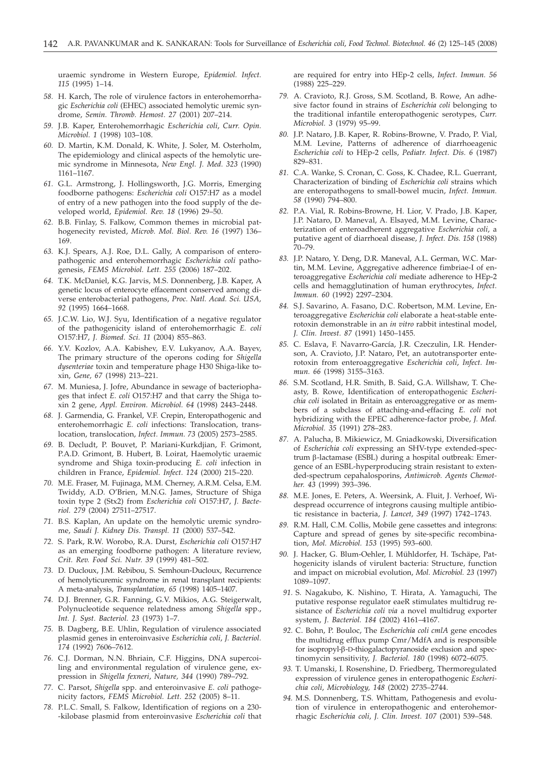uraemic syndrome in Western Europe, *Epidemiol. Infect. 115* (1995) 1–14.

- *58.* H. Karch, The role of virulence factors in enterohemorrhagic *Escherichia coli* (EHEC) associated hemolytic uremic syndrome, *Semin. Thromb. Hemost. 27* (2001) 207–214.
- *59.* J.B. Kaper, Enterohemorrhagic *Escherichia coli*, *Curr. Opin. Microbiol. 1* (1998) 103–108.
- *60.* D. Martin, K.M. Donald, K. White, J. Soler, M. Osterholm, The epidemiology and clinical aspects of the hemolytic uremic syndrome in Minnesota, *New Engl. J. Med. 323* (1990) 1161–1167.
- *61.* G.L. Armstrong, J. Hollingsworth, J.G. Morris, Emerging foodborne pathogens: *Escherichia coli* O157:H7 as a model of entry of a new pathogen into the food supply of the developed world, *Epidemiol. Rev. 18* (1996) 29–50.
- *62.* B.B. Finlay, S. Falkow, Common themes in microbial pathogenecity revisted, *Microb. Mol. Biol. Rev. 16* (1997) 136– 169.
- *63.* K.J. Spears, A.J. Roe, D.L. Gally, A comparison of enteropathogenic and enterohemorrhagic *Escherichia coli* pathogenesis, *FEMS Microbiol. Lett. 255* (2006) 187–202.
- *64.* T.K. McDaniel, K.G. Jarvis, M.S. Donnenberg, J.B. Kaper, A genetic locus of enterocyte effacement conserved among diverse enterobacterial pathogens, *Proc. Natl. Acad. Sci. USA, 92* (1995) 1664–1668.
- *65.* J.C.W. Lio, W.J. Syu, Identification of a negative regulator of the pathogenicity island of enterohemorrhagic *E. coli* O157:H7, *J. Biomed. Sci. 11* (2004) 855–863.
- *66.* Y.V. Kozlov, A.A. Kabishev, E.V. Lukyanov, A.A. Bayev, The primary structure of the operons coding for *Shigella dysenteriae* toxin and temperature phage H30 Shiga-like toxin, *Gene, 67* (1998) 213–221.
- *67.* M. Muniesa, J. Jofre, Abundance in sewage of bacteriophages that infect *E. coli* O157:H7 and that carry the Shiga toxin 2 gene, *Appl. Environ. Microbiol. 64* (1998) 2443–2448.
- *68.* J. Garmendia, G. Frankel, V.F. Crepin, Enteropathogenic and enterohemorrhagic *E. coli* infections: Translocation, translocation, translocation, *Infect. Immun. 73* (2005) 2573–2585.
- *69.* B. Decludt, P. Bouvet, P. Mariani-Kurkdjian, F. Grimont, P.A.D. Grimont, B. Hubert, B. Loirat, Haemolytic uraemic syndrome and Shiga toxin-producing *E. coli* infection in children in France, *Epidemiol. Infect. 124* (2000) 215–220.
- *70.* M.E. Fraser, M. Fujinaga, M.M. Cherney, A.R.M. Celsa, E.M. Twiddy, A.D. O'Brien, M.N.G. James, Structure of Shiga toxin type 2 (Stx2) from *Escherichia coli* O157:H7, *J. Bacteriol. 279* (2004) 27511–27517.
- *71.* B.S. Kaplan, An update on the hemolytic uremic syndrome, *Saudi J. Kidney Dis. Transpl. 11* (2000) 537–542.
- *72.* S. Park, R.W. Worobo, R.A. Durst, *Escherichia coli* O157:H7 as an emerging foodborne pathogen: A literature review, *Crit. Rev. Food Sci. Nutr. 39* (1999) 481–502.
- *73.* D. Ducloux, J.M. Rebibou, S. Semhoun-Ducloux, Recurrence of hemolyticuremic syndrome in renal transplant recipients: A meta-analysis, *Transplantation, 65* (1998) 1405–1407.
- *74.* D.J. Brenner, G.R. Fanning, G.V. Mikios, A.G. Steigerwalt, Polynucleotide sequence relatedness among *Shigella* spp., *Int. J. Syst. Bacteriol. 23* (1973) 1–7.
- *75.* B. Dagberg, B.E. Uhlin, Regulation of virulence associated plasmid genes in enteroinvasive *Escherichia coli*, *J. Bacteriol. 174* (1992) 7606–7612.
- *76.* C.J. Dorman, N.N. Bhriain, C.F. Higgins, DNA supercoiling and environmental regulation of virulence gene, expression in *Shigella fexneri*, *Nature, 344* (1990) 789–792.
- *77.* C. Parsot, *Shigella* spp. and enteroinvasive *E. coli* pathogenicity factors, *FEMS Microbiol. Lett. 252* (2005) 8–11.
- *78.* P.L.C. Small, S. Falkow, Identification of regions on a 230- -kilobase plasmid from enteroinvasive *Escherichia coli* that

are required for entry into HEp-2 cells, *Infect. Immun. 56* (1988) 225–229.

- *79.* A. Cravioto, R.J. Gross, S.M. Scotland, B. Rowe, An adhesive factor found in strains of *Escherichia coli* belonging to the traditional infantile enteropathogenic serotypes, *Curr. Microbiol. 3* (1979) 95–99.
- *80.* J.P. Nataro, J.B. Kaper, R. Robins-Browne, V. Prado, P. Vial, M.M. Levine, Patterns of adherence of diarrhoeagenic *Escherichia coli* to HEp-2 cells, *Pediatr. Infect. Dis. 6* (1987) 829–831.
- *81.* C.A. Wanke, S. Cronan, C. Goss, K. Chadee, R.L. Guerrant, Characterization of binding of *Escherichia coli* strains which are enteropathogens to small-bowel mucin, *Infect. Immun. 58* (1990) 794–800.
- *82.* P.A. Vial, R. Robins-Browne, H. Lior, V. Prado, J.B. Kaper, J.P. Nataro, D. Maneval, A. Elsayed, M.M. Levine, Characterization of enteroadherent aggregative *Escherichia coli*, a putative agent of diarrhoeal disease, *J. Infect. Dis. 158* (1988) 70–79.
- *83.* J.P. Nataro, Y. Deng, D.R. Maneval, A.L. German, W.C. Martin, M.M. Levine, Aggregative adherence fimbriae-I of enteroaggregative *Escherichia coli* mediate adherence to HEp-2 cells and hemagglutination of human erythrocytes, *Infect. Immun. 60* (1992) 2297–2304.
- *84.* S.J. Savarino, A. Fasano, D.C. Robertson, M.M. Levine, Enteroaggregative *Escherichia coli* elaborate a heat-stable enterotoxin demonstrable in an *in vitro* rabbit intestinal model, *J. Clin. Invest. 87* (1991) 1450–1455.
- *85.* C. Eslava, F. Navarro-García, J.R. Czeczulin, I.R. Henderson, A. Cravioto, J.P. Nataro, Pet, an autotransporter enterotoxin from enteroaggregative *Escherichia coli*, *Infect. Immun. 66* (1998) 3155–3163.
- *86.* S.M. Scotland, H.R. Smith, B. Said, G.A. Willshaw, T. Cheasty, B. Rowe, Identification of enteropathogenic *Escherichia coli* isolated in Britain as enteroaggregative or as members of a subclass of attaching-and-effacing *E. coli* not hybridizing with the EPEC adherence-factor probe, *J. Med. Microbiol. 35* (1991) 278–283.
- *87.* A. Palucha, B. Mikiewicz, M. Gniadkowski, Diversification of *Escherichia coli* expressing an SHV-type extended-spectrum b-lactamase (ESBL) during a hospital outbreak: Emergence of an ESBL-hyperproducing strain resistant to extended-spectrum cepahalosporins, *Antimicrob. Agents Chemother. 43* (1999) 393–396.
- *88.* M.E. Jones, E. Peters, A. Weersink, A. Fluit, J. Verhoef, Widespread occurrence of integrons causing multiple antibiotic resistance in bacteria, *J. Lancet, 349* (1997) 1742–1743.
- *89.* R.M. Hall, C.M. Collis, Mobile gene cassettes and integrons: Capture and spread of genes by site-specific recombination, *Mol. Microbiol. 153* (1995) 593–600.
- *90.* J. Hacker, G. Blum-Oehler, I. Mühldorfer, H. Tschäpe, Pathogenicity islands of virulent bacteria: Structure, function and impact on microbial evolution, *Mol. Microbiol. 23* (1997) 1089–1097.
- *91.* S. Nagakubo, K. Nishino, T. Hirata, A. Yamaguchi, The putative response regulator eaeR stimulates multidrug resistance of *Escherichia coli via* a novel multidrug exporter system, *J. Bacteriol. 184* (2002) 4161–4167.
- *92.* C. Bohn, P. Bouloc, The *Escherichia coli cmlA* gene encodes the multidrug efflux pump Cmr/MdfA and is responsible for isopropyl-b-D-thiogalactopyranoside exclusion and spectinomycin sensitivity, *J. Bacteriol. 180* (1998) 6072–6075.
- *93.* T. Umanski, I. Rosenshine, D. Friedberg, Thermoregulated expression of virulence genes in enteropathogenic *Escherichia coli*, *Microbiology, 148* (2002) 2735–2744.
- *94.* M.S. Donnenberg, T.S. Whittam, Pathogenesis and evolution of virulence in enteropathogenic and enterohemorrhagic *Escherichia coli*, *J. Clin. Invest. 107* (2001) 539–548.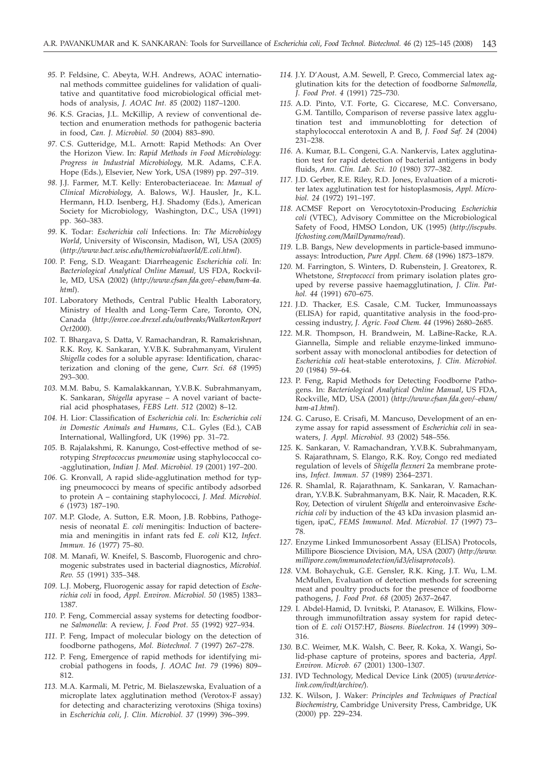- *95.* P. Feldsine, C. Abeyta, W.H. Andrews, AOAC international methods committee guidelines for validation of qualitative and quantitative food microbiological official methods of analysis, *J. AOAC Int. 85* (2002) 1187–1200.
- *96.* K.S. Gracias, J.L. McKillip, A review of conventional detection and enumeration methods for pathogenic bacteria in food, *Can. J. Microbiol. 50* (2004) 883–890.
- *97.* C.S. Gutteridge, M.L. Arnott: Rapid Methods: An Over the Horizon View. In: *Rapid Methods in Food Microbiology: Progress in Industrial Microbiology,* M.R. Adams, C.F.A. Hope (Eds.), Elsevier, New York, USA (1989) pp. 297–319.
- *98.* J.J. Farmer, M.T. Kelly: Enterobacteriaceae. In: *Manual of Clinical Microbiology*, A. Balows, W.J. Hausler, Jr., K.L. Hermann, H.D. Isenberg, H.J. Shadomy (Eds.), American Society for Microbiology, Washington, D.C., USA (1991) pp. 360–383.
- *99.* K. Todar: *Escherichia coli* Infections. In: *The Microbiology World*, University of Wisconsin, Madison, WI, USA (2005) (*http://www.bact.wisc.edu/themicrobialworld/E.coli.html*).
- *100.* P. Feng, S.D. Weagant: Diarrheagenic *Escherichia coli.* In: *Bacteriological Analytical Online Manual,* US FDA, Rockville, MD, USA (2002) (*http://www.cfsan.fda.gov/~ebam/bam-4a. html*).
- *101.* Laboratory Methods, Central Public Health Laboratory, Ministry of Health and Long-Term Care, Toronto, ON, Canada (*http://enve.coe.drexel.edu/outbreaks/WalkertonReport Oct2000*).
- *102.* T. Bhargava, S. Datta, V. Ramachandran, R. Ramakrishnan, R.K. Roy, K. Sankaran, Y.V.B.K. Subrahmanyam, Virulent *Shigella* codes for a soluble apyrase: Identification, characterization and cloning of the gene, *Curr. Sci. 68* (1995) 293–300.
- *103.* M.M. Babu, S. Kamalakkannan, Y.V.B.K. Subrahmanyam, K. Sankaran, *Shigella* apyrase – A novel variant of bacterial acid phosphatases, *FEBS Lett. 512* (2002) 8–12.
- *104.* H. Lior: Classification of *Escherichia coli*. In: *Escherichia coli in Domestic Animals and Humans*, C.L. Gyles (Ed.), CAB International, Wallingford, UK (1996) pp. 31–72.
- *105.* B. Rajalakshmi, R. Kanungo, Cost-effective method of serotyping *Streptococcus pneumoniae* using staphylococcal co- -agglutination, *Indian J. Med. Microbiol. 19* (2001) 197–200.
- *106.* G. Kronvall, A rapid slide-agglutination method for typing pneumococci by means of specific antibody adsorbed to protein A – containing staphylococci, *J. Med. Microbiol. 6* (1973) 187–190.
- *107.* M.P. Glode, A. Sutton, E.R. Moon, J.B. Robbins, Pathogenesis of neonatal *E. coli* meningitis: Induction of bacteremia and meningitis in infant rats fed *E. coli* K12, *Infect. Immun. 16* (1977) 75–80.
- *108.* M. Manafi, W. Kneifel, S. Bascomb, Fluorogenic and chromogenic substrates used in bacterial diagnostics, *Microbiol. Rev. 55* (1991) 335–348.
- *109.* L.J. Moberg, Fluorogenic assay for rapid detection of *Escherichia coli* in food, *Appl. Environ. Microbiol. 50* (1985) 1383– 1387.
- *110.* P. Feng, Commercial assay systems for detecting foodborne *Salmonella*: A review, *J. Food Prot. 55* (1992) 927–934.
- *111.* P. Feng, Impact of molecular biology on the detection of foodborne pathogens, *Mol. Biotechnol. 7* (1997) 267–278.
- *112.* P. Feng, Emergence of rapid methods for identifying microbial pathogens in foods, *J. AOAC Int. 79* (1996) 809– 812.
- *113.* M.A. Karmali, M. Petric, M. Bielaszewska, Evaluation of a microplate latex agglutination method (Verotox-F assay) for detecting and characterizing verotoxins (Shiga toxins) in *Escherichia coli*, *J. Clin. Microbiol. 37* (1999) 396–399.
- *114.* J.Y. D'Aoust, A.M. Sewell, P. Greco, Commercial latex agglutination kits for the detection of foodborne *Salmonella, J. Food Prot. 4* (1991) 725–730.
- *115.* A.D. Pinto, V.T. Forte, G. Ciccarese, M.C. Conversano, G.M. Tantillo, Comparison of reverse passive latex agglutination test and immunoblotting for detection of staphylococcal enterotoxin A and B, *J. Food Saf. 24* (2004) 231–238.
- *116.* A. Kumar, B.L. Congeni, G.A. Nankervis, Latex agglutination test for rapid detection of bacterial antigens in body fluids, *Ann. Clin. Lab. Sci. 10* (1980) 377–382.
- *117.* J.D. Gerber, R.E. Riley, R.D. Jones, Evaluation of a microtiter latex agglutination test for histoplasmosis, *Appl. Microbiol. 24* (1972) 191–197.
- *118.* ACMSF Report on Verocytotoxin-Producing *Escherichia coli* (VTEC), Advisory Committee on the Microbiological Safety of Food, HMSO London, UK (1995) (*http://iscpubs. lfchosting.com/MailDynamo/read*).
- *119.* L.B. Bangs, New developments in particle-based immunoassays: Introduction, *Pure Appl. Chem. 68* (1996) 1873–1879.
- *120.* M. Farrington, S. Winters, D. Rubenstein, J. Greatorex, R. Whetstone, *Streptococci* from primary isolation plates grouped by reverse passive haemagglutination, *J. Clin. Pathol. 44* (1991) 670–675.
- *121.* J.D. Thacker, E.S. Casale, C.M. Tucker, Immunoassays (ELISA) for rapid, quantitative analysis in the food-processing industry, *J. Agric. Food Chem. 44* (1996) 2680–2685.
- *122.* M.R. Thompson, H. Brandwein, M. LaBine-Racke, R.A. Giannella, Simple and reliable enzyme-linked immunosorbent assay with monoclonal antibodies for detection of *Escherichia coli* heat-stable enterotoxins, *J. Clin. Microbiol. 20* (1984) 59–64.
- *123.* P. Feng, Rapid Methods for Detecting Foodborne Pathogens. In: *Bacteriological Analytical Online Manual*, US FDA, Rockville, MD, USA (2001) (*http://www.cfsan.fda.gov/~ebam/ bam-a1.html*).
- *124.* G. Caruso, E. Crisafi, M. Mancuso, Development of an enzyme assay for rapid assessment of *Escherichia coli* in seawaters, *J. Appl. Microbiol. 93* (2002) 548–556.
- *125.* K. Sankaran, V. Ramachandran, Y.V.B.K. Subrahmanyam, S. Rajarathnam, S. Elango, R.K. Roy, Congo red mediated regulation of levels of *Shigella flexneri* 2a membrane proteins, *Infect. Immun. 57* (1989) 2364–2371.
- *126.* R. Shamlal, R. Rajarathnam, K. Sankaran, V. Ramachandran, Y.V.B.K. Subrahmanyam, B.K. Nair, R. Macaden, R.K. Roy, Detection of virulent *Shigella* and enteroinvasive *Escherichia coli* by induction of the 43 kDa invasion plasmid antigen, ipaC, *FEMS Immunol. Med. Microbiol. 17* (1997) 73– 78.
- *127.* Enzyme Linked Immunosorbent Assay (ELISA) Protocols, Millipore Bioscience Division, MA, USA (2007) (*http://www. millipore.com/immunodetection/id3/elisaprotocols*).
- *128.* V.M. Bohaychuk, G.E. Gensler, R.K. King, J.T. Wu, L.M. McMullen, Evaluation of detection methods for screening meat and poultry products for the presence of foodborne pathogens, *J. Food Prot. 68* (2005) 2637–2647.
- *129.* I. Abdel-Hamid, D. Ivnitski, P. Atanasov, E. Wilkins, Flowthrough immunofiltration assay system for rapid detection of *E. coli* O157:H7, *Biosens. Bioelectron. 14* (1999) 309– 316.
- *130.* B.C. Weimer, M.K. Walsh, C. Beer, R. Koka, X. Wangi, Solid-phase capture of proteins, spores and bacteria, *Appl. Environ. Microb. 67* (2001) 1300–1307.
- *131.* IVD Technology, Medical Device Link (2005) (*www.devicelink.com/ivdt/archive/*).
- *132.* K. Wilson, J. Waker: *Principles and Techniques of Practical Biochemistry*, Cambridge University Press, Cambridge, UK (2000) pp. 229–234.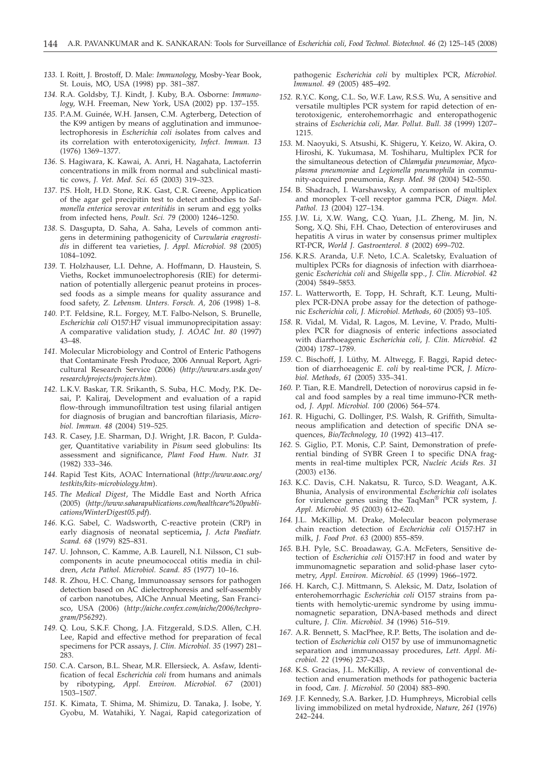- *133.* I. Roitt, J. Brostoff, D. Male: *Immunology*, Mosby-Year Book, St. Louis, MO, USA (1998) pp. 381–387.
- *134.* R.A. Goldsby, T.J. Kindt, J. Kuby, B.A. Osborne: *Immunology*, W.H. Freeman, New York, USA (2002) pp. 137–155.
- *135.* P.A.M. Guinée, W.H. Jansen, C.M. Agterberg, Detection of the K99 antigen by means of agglutination and immunoelectrophoresis in *Escherichia coli i*solates from calves and its correlation with enterotoxigenicity, *Infect. Immun. 13* (1976) 1369–1377.
- *136.* S. Hagiwara, K. Kawai, A. Anri, H. Nagahata, Lactoferrin concentrations in milk from normal and subclinical mastitic cows, *J. Vet. Med. Sci. 65* (2003) 319–323.
- *137.* P.S. Holt, H.D. Stone, R.K. Gast, C.R. Greene, Application of the agar gel precipitin test to detect antibodies to *Salmonella enterica* serovar *enteritidis* in serum and egg yolks from infected hens*, Poult. Sci. 79* (2000) 1246–1250.
- *138.* S. Dasgupta, D. Saha, A. Saha, Levels of common antigens in determining pathogenicity of *Curvularia eragrostidis* in different tea varieties, *J. Appl. Microbiol. 98* (2005) 1084–1092.
- *139.* T. Holzhauser, L.I. Dehne, A. Hoffmann, D. Haustein, S. Vieths, Rocket immunoelectrophoresis (RIE) for determination of potentially allergenic peanut proteins in processed foods as a simple means for quality assurance and food safety, *Z. Lebensm. Unters. Forsch. A, 206* (1998) 1–8.
- *140.* P.T. Feldsine, R.L. Forgey, M.T. Falbo-Nelson, S. Brunelle, *Escherichia coli* O157:H7 visual immunoprecipitation assay: A comparative validation study, *J. AOAC Int. 80* (1997) 43–48.
- *141.* Molecular Microbiology and Control of Enteric Pathogens that Contaminate Fresh Produce, 2006 Annual Report, Agricultural Research Service (2006) (*http://www.ars.usda.gov/ research/projects/projects.htm*).
- *142.* L.K.V. Baskar, T.R. Srikanth, S. Suba, H.C. Mody, P.K. Desai, P. Kaliraj, Development and evaluation of a rapid flow-through immunofiltration test using filarial antigen for diagnosis of brugian and bancroftian filariasis, *Microbiol. Immun. 48* (2004) 519–525.
- *143.* R. Casey, J.E. Sharman, D.J. Wright, J.R. Bacon, P. Guldager, Quantitative variability in *Pisum* seed globulins: Its assessment and significance, *Plant Food Hum. Nutr. 31* (1982) 333–346.
- *144.* Rapid Test Kits, AOAC International (*http://www.aoac.org/ testkits/kits-microbiology.htm*).
- *145. The Medical Digest*, The Middle East and North Africa (2005) (*http://www.saharapublications.com/healthcare%20publications/WinterDigest05.pdf*).
- *146.* K.G. Sabel, C. Wadsworth, C-reactive protein (CRP) in early diagnosis of neonatal septicemia**,** *J. Acta Paediatr. Scand. 68* (1979) 825–831.
- *147.* U. Johnson, C. Kamme, A.B. Laurell, N.I. Nilsson, C1 subcomponents in acute pneumococcal otitis media in children, *Acta Pathol. Microbiol. Scand. 85* (1977) 10–16.
- *148.* R. Zhou, H.C. Chang, Immunoassay sensors for pathogen detection based on AC dielectrophoresis and self-assembly of carbon nanotubes, AIChe Annual Meeting, San Francisco, USA (2006) (*http://aiche.confex.com/aiche/2006/techprogram/P56292*).
- *149.* Q. Lou, S.K.F. Chong, J.A. Fitzgerald, S.D.S. Allen, C.H. Lee, Rapid and effective method for preparation of fecal specimens for PCR assays, *J. Clin. Microbiol. 35* (1997) 281– 283.
- *150.* C.A. Carson, B.L. Shear, M.R. Ellersieck, A. Asfaw, Identification of fecal *Escherichia coli* from humans and animals by ribotyping, *Appl. Environ. Microbiol. 67* (2001) 1503–1507.
- *151.* K. Kimata, T. Shima, M. Shimizu, D. Tanaka, J. Isobe, Y. Gyobu, M. Watahiki, Y. Nagai, Rapid categorization of

pathogenic *Escherichia coli* by multiplex PCR, *Microbiol. Immunol. 49* (2005) 485–492.

- *152.* R.Y.C. Kong, C.L. So, W.F. Law, R.S.S. Wu, A sensitive and versatile multiples PCR system for rapid detection of enterotoxigenic, enterohemorrhagic and enteropathogenic strains of *Escherichia coli*, *Mar. Pollut. Bull. 38* (1999) 1207– 1215.
- *153.* M. Naoyuki, S. Atsushi, K. Shigeru, Y. Keizo, W. Akira, O. Hiroshi, K. Yukumasa, M. Toshiharu, Multiplex PCR for the simultaneous detection of *Chlamydia pneumoniae*, *Mycoplasma pneumoniae* and *Legionella pneumophila* in community-acquired pneumonia, *Resp. Med. 98* (2004) 542–550.
- *154.* B. Shadrach, I. Warshawsky, A comparison of multiplex and monoplex T-cell receptor gamma PCR, *Diagn. Mol. Pathol. 13* (2004) 127–134.
- *155.* J.W. Li, X.W. Wang, C.Q. Yuan, J.L. Zheng, M. Jin, N. Song, X.Q. Shi, F.H. Chao, Detection of enteroviruses and hepatitis A virus in water by consensus primer multiplex RT-PCR, *World J. Gastroenterol. 8* (2002) 699–702.
- *156.* K.R.S. Aranda, U.F. Neto, I.C.A. Scaletsky, Evaluation of multiplex PCRs for diagnosis of infection with diarrhoeagenic *Escherichia coli* and *Shigella* spp., *J. Clin. Microbiol. 42* (2004) 5849–5853.
- *157.* L. Watterworth, E. Topp, H. Schraft, K.T. Leung, Multiplex PCR-DNA probe assay for the detection of pathogenic *Escherichia coli, J. Microbiol. Methods, 60* (2005) 93–105.
- *158.* R. Vidal, M. Vidal, R. Lagos, M. Levine, V. Prado, Multiplex PCR for diagnosis of enteric infections associated with diarrhoeagenic *Escherichia coli*, *J. Clin. Microbiol. 42* (2004) 1787–1789.
- *159.* C. Bischoff, J. Lüthy, M. Altwegg, F. Baggi, Rapid detection of diarrhoeagenic *E. coli* by real-time PCR, *J. Microbiol. Methods, 61* (2005) 335–341.
- *160.* P. Tian, R.E. Mandrell, Detection of norovirus capsid in fecal and food samples by a real time immuno-PCR method, *J. Appl. Microbiol. 100* (2006) 564–574.
- *161.* R. Higuchi, G. Dollinger, P.S. Walsh, R. Griffith, Simultaneous amplification and detection of specific DNA sequences, *Bio/Technology, 10* (1992) 413–417.
- *162.* S. Giglio, P.T. Monis, C.P. Saint, Demonstration of preferential binding of SYBR Green I to specific DNA fragments in real-time multiplex PCR, *Nucleic Acids Res. 31* (2003) e136.
- *163.* K.C. Davis, C.H. Nakatsu, R. Turco, S.D. Weagant, A.K. Bhunia, Analysis of environmental *Escherichia coli* isolates for virulence genes using the TaqMan® PCR system, *J. Appl. Microbiol. 95* (2003) 612–620.
- *164.* J.L. McKillip, M. Drake, Molecular beacon polymerase chain reaction detection of *Escherichia coli* O157:H7 in milk, *J. Food Prot. 63* (2000) 855–859.
- *165.* B.H. Pyle, S.C. Broadaway, G.A. McFeters, Sensitive detection of *Escherichia coli* O157:H7 in food and water by immunomagnetic separation and solid-phase laser cytometry, *Appl. Environ. Microbiol. 65* (1999) 1966–1972.
- *166.* H. Karch, C.J. Mittmann, S. Aleksic, M. Datz, Isolation of enterohemorrhagic *Escherichia coli* O157 strains from patients with hemolytic-uremic syndrome by using immunomagnetic separation, DNA-based methods and direct culture, *J. Clin. Microbiol. 34* (1996) 516–519.
- *167.* A.R. Bennett, S. MacPhee, R.P. Betts, The isolation and detection of *Escherichia coli* O157 by use of immunomagnetic separation and immunoassay procedures, *Lett. Appl. Microbiol. 22* (1996) 237–243.
- *168.* K.S. Gracias, J.L. McKillip, A review of conventional detection and enumeration methods for pathogenic bacteria in food, *Can. J. Microbiol. 50* (2004) 883–890.
- *169.* J.F. Kennedy, S.A. Barker, J.D. Humphreys, Microbial cells living immobilized on metal hydroxide, *Nature, 261* (1976) 242–244.